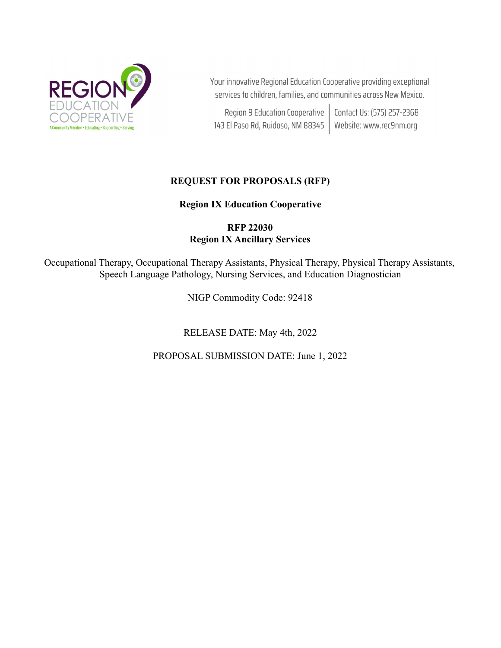

Your innovative Regional Education Cooperative providing exceptional services to children, families, and communities across New Mexico.

Region 9 Education Cooperative | Contact Us: (575) 257-2368<br>143 El Paso Rd, Ruidoso, NM 88345 | Website: www.rec9nm.org

# **REQUEST FOR PROPOSALS (RFP)**

## **Region IX Education Cooperative**

## **RFP 22030 Region IX Ancillary Services**

Occupational Therapy, Occupational Therapy Assistants, Physical Therapy, Physical Therapy Assistants, Speech Language Pathology, Nursing Services, and Education Diagnostician

NIGP Commodity Code: 92418

RELEASE DATE: May 4th, 2022

PROPOSAL SUBMISSION DATE: June 1, 2022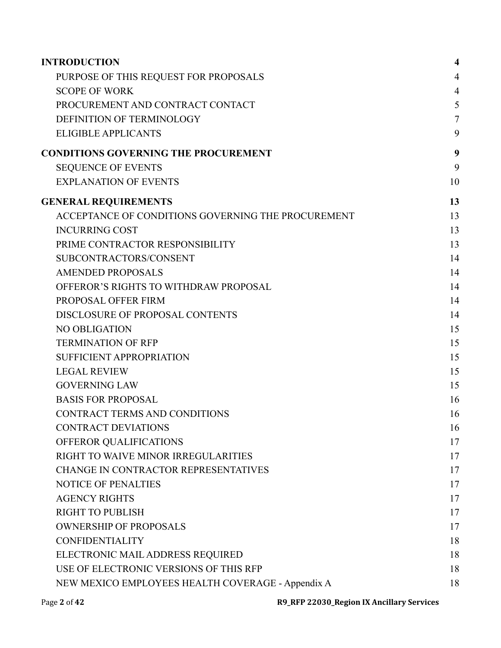| <b>INTRODUCTION</b>                                | $\overline{\mathbf{4}}$ |
|----------------------------------------------------|-------------------------|
| PURPOSE OF THIS REQUEST FOR PROPOSALS              | 4                       |
| <b>SCOPE OF WORK</b>                               | $\overline{4}$          |
| PROCUREMENT AND CONTRACT CONTACT                   | 5                       |
| DEFINITION OF TERMINOLOGY                          | $\overline{7}$          |
| <b>ELIGIBLE APPLICANTS</b>                         | 9                       |
| <b>CONDITIONS GOVERNING THE PROCUREMENT</b>        | 9                       |
| <b>SEQUENCE OF EVENTS</b>                          | 9                       |
| <b>EXPLANATION OF EVENTS</b>                       | 10                      |
| <b>GENERAL REQUIREMENTS</b>                        | 13                      |
| ACCEPTANCE OF CONDITIONS GOVERNING THE PROCUREMENT | 13                      |
| <b>INCURRING COST</b>                              | 13                      |
| PRIME CONTRACTOR RESPONSIBILITY                    | 13                      |
| SUBCONTRACTORS/CONSENT                             | 14                      |
| <b>AMENDED PROPOSALS</b>                           | 14                      |
| OFFEROR'S RIGHTS TO WITHDRAW PROPOSAL              | 14                      |
| PROPOSAL OFFER FIRM                                | 14                      |
| DISCLOSURE OF PROPOSAL CONTENTS                    | 14                      |
| NO OBLIGATION                                      | 15                      |
| <b>TERMINATION OF RFP</b>                          | 15                      |
| <b>SUFFICIENT APPROPRIATION</b>                    | 15                      |
| <b>LEGAL REVIEW</b>                                | 15                      |
| <b>GOVERNING LAW</b>                               | 15                      |
| <b>BASIS FOR PROPOSAL</b>                          | 16                      |
| <b>CONTRACT TERMS AND CONDITIONS</b>               | 16                      |
| <b>CONTRACT DEVIATIONS</b>                         | 16                      |
| OFFEROR QUALIFICATIONS                             | 17                      |
| RIGHT TO WAIVE MINOR IRREGULARITIES                | 17                      |
| CHANGE IN CONTRACTOR REPRESENTATIVES               | 17                      |
| <b>NOTICE OF PENALTIES</b>                         | 17                      |
| <b>AGENCY RIGHTS</b>                               | 17                      |
| <b>RIGHT TO PUBLISH</b>                            | 17                      |
| <b>OWNERSHIP OF PROPOSALS</b>                      | 17                      |
| <b>CONFIDENTIALITY</b>                             | 18                      |
| ELECTRONIC MAIL ADDRESS REQUIRED                   | 18                      |
| USE OF ELECTRONIC VERSIONS OF THIS RFP             | 18                      |
| NEW MEXICO EMPLOYEES HEALTH COVERAGE - Appendix A  | 18                      |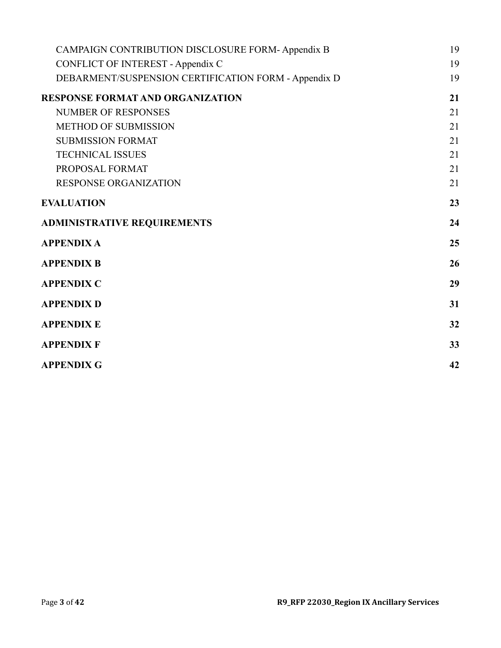| CAMPAIGN CONTRIBUTION DISCLOSURE FORM-Appendix B     | 19 |
|------------------------------------------------------|----|
| <b>CONFLICT OF INTEREST - Appendix C</b>             | 19 |
| DEBARMENT/SUSPENSION CERTIFICATION FORM - Appendix D | 19 |
| <b>RESPONSE FORMAT AND ORGANIZATION</b>              | 21 |
| <b>NUMBER OF RESPONSES</b>                           | 21 |
| <b>METHOD OF SUBMISSION</b>                          | 21 |
| <b>SUBMISSION FORMAT</b>                             | 21 |
| <b>TECHNICAL ISSUES</b>                              | 21 |
| PROPOSAL FORMAT                                      | 21 |
| <b>RESPONSE ORGANIZATION</b>                         | 21 |
| <b>EVALUATION</b>                                    | 23 |
| <b>ADMINISTRATIVE REQUIREMENTS</b>                   | 24 |
| <b>APPENDIX A</b>                                    | 25 |
| <b>APPENDIX B</b>                                    | 26 |
| <b>APPENDIX C</b>                                    | 29 |
| <b>APPENDIX D</b>                                    | 31 |
| <b>APPENDIX E</b>                                    | 32 |
| <b>APPENDIX F</b>                                    | 33 |
| <b>APPENDIX G</b>                                    | 42 |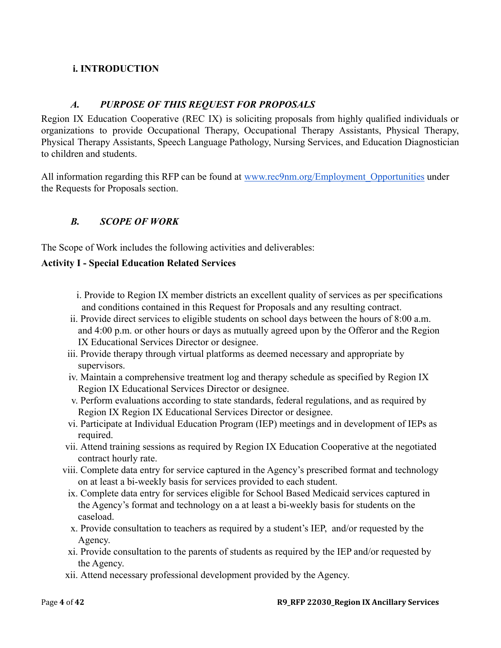## <span id="page-3-0"></span>**i. INTRODUCTION**

## *A. PURPOSE OF THIS REQUEST FOR PROPOSALS*

<span id="page-3-1"></span>Region IX Education Cooperative (REC IX) is soliciting proposals from highly qualified individuals or organizations to provide Occupational Therapy, Occupational Therapy Assistants, Physical Therapy, Physical Therapy Assistants, Speech Language Pathology, Nursing Services, and Education Diagnostician to children and students.

All information regarding this RFP can be found at www.rec9nm.org/Employment Opportunities under the Requests for Proposals section.

## <span id="page-3-2"></span>*B. SCOPE OF WORK*

The Scope of Work includes the following activities and deliverables:

## **Activity I - Special Education Related Services**

- i. Provide to Region IX member districts an excellent quality of services as per specifications and conditions contained in this Request for Proposals and any resulting contract.
- ii. Provide direct services to eligible students on school days between the hours of 8:00 a.m. and 4:00 p.m. or other hours or days as mutually agreed upon by the Offeror and the Region IX Educational Services Director or designee.
- iii. Provide therapy through virtual platforms as deemed necessary and appropriate by supervisors.
- iv. Maintain a comprehensive treatment log and therapy schedule as specified by Region IX Region IX Educational Services Director or designee.
- v. Perform evaluations according to state standards, federal regulations, and as required by Region IX Region IX Educational Services Director or designee.
- vi. Participate at Individual Education Program (IEP) meetings and in development of IEPs as required.
- vii. Attend training sessions as required by Region IX Education Cooperative at the negotiated contract hourly rate.
- viii. Complete data entry for service captured in the Agency's prescribed format and technology on at least a bi-weekly basis for services provided to each student.
- ix. Complete data entry for services eligible for School Based Medicaid services captured in the Agency's format and technology on a at least a bi-weekly basis for students on the caseload.
- x. Provide consultation to teachers as required by a student's IEP, and/or requested by the Agency.
- xi. Provide consultation to the parents of students as required by the IEP and/or requested by the Agency.
- xii. Attend necessary professional development provided by the Agency.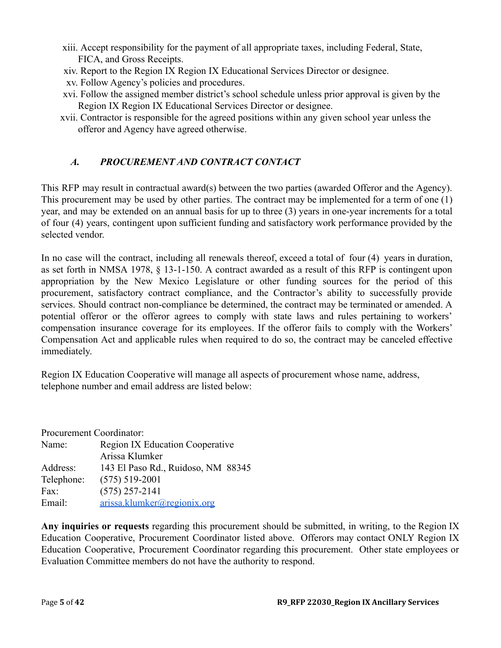- xiii. Accept responsibility for the payment of all appropriate taxes, including Federal, State, FICA, and Gross Receipts.
- xiv. Report to the Region IX Region IX Educational Services Director or designee.
- xv. Follow Agency's policies and procedures.
- xvi. Follow the assigned member district's school schedule unless prior approval is given by the Region IX Region IX Educational Services Director or designee.
- xvii. Contractor is responsible for the agreed positions within any given school year unless the offeror and Agency have agreed otherwise.

## <span id="page-4-0"></span>*A. PROCUREMENT AND CONTRACT CONTACT*

This RFP may result in contractual award(s) between the two parties (awarded Offeror and the Agency). This procurement may be used by other parties. The contract may be implemented for a term of one (1) year, and may be extended on an annual basis for up to three (3) years in one-year increments for a total of four (4) years, contingent upon sufficient funding and satisfactory work performance provided by the selected vendor.

In no case will the contract, including all renewals thereof, exceed a total of four (4) years in duration, as set forth in NMSA 1978, § 13-1-150. A contract awarded as a result of this RFP is contingent upon appropriation by the New Mexico Legislature or other funding sources for the period of this procurement, satisfactory contract compliance, and the Contractor's ability to successfully provide services. Should contract non-compliance be determined, the contract may be terminated or amended. A potential offeror or the offeror agrees to comply with state laws and rules pertaining to workers' compensation insurance coverage for its employees. If the offeror fails to comply with the Workers' Compensation Act and applicable rules when required to do so, the contract may be canceled effective immediately.

Region IX Education Cooperative will manage all aspects of procurement whose name, address, telephone number and email address are listed below:

| Procurement Coordinator: |                                        |  |  |
|--------------------------|----------------------------------------|--|--|
| Name:                    | <b>Region IX Education Cooperative</b> |  |  |
|                          | Arissa Klumker                         |  |  |
| Address:                 | 143 El Paso Rd., Ruidoso, NM 88345     |  |  |
| Telephone:               | $(575) 519 - 2001$                     |  |  |
| Fax:                     | $(575)$ 257-2141                       |  |  |
| Email:                   | arissa.klumker@regionix.org            |  |  |

**Any inquiries or requests** regarding this procurement should be submitted, in writing, to the Region IX Education Cooperative, Procurement Coordinator listed above. Offerors may contact ONLY Region IX Education Cooperative, Procurement Coordinator regarding this procurement. Other state employees or Evaluation Committee members do not have the authority to respond.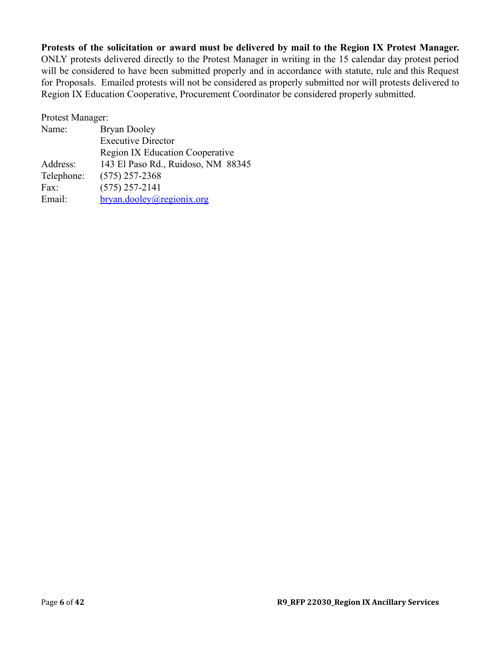### **Protests of the solicitation or award must be delivered by mail to the Region IX Protest Manager.**

ONLY protests delivered directly to the Protest Manager in writing in the 15 calendar day protest period will be considered to have been submitted properly and in accordance with statute, rule and this Request for Proposals. Emailed protests will not be considered as properly submitted nor will protests delivered to Region IX Education Cooperative, Procurement Coordinator be considered properly submitted.

Protest Manager:

| Name:      | <b>Bryan Dooley</b>                    |
|------------|----------------------------------------|
|            | <b>Executive Director</b>              |
|            | <b>Region IX Education Cooperative</b> |
| Address:   | 143 El Paso Rd., Ruidoso, NM 88345     |
| Telephone: | $(575)$ 257-2368                       |
| Fax:       | $(575)$ 257-2141                       |
| Email:     | bryan.dooley@regionix.org              |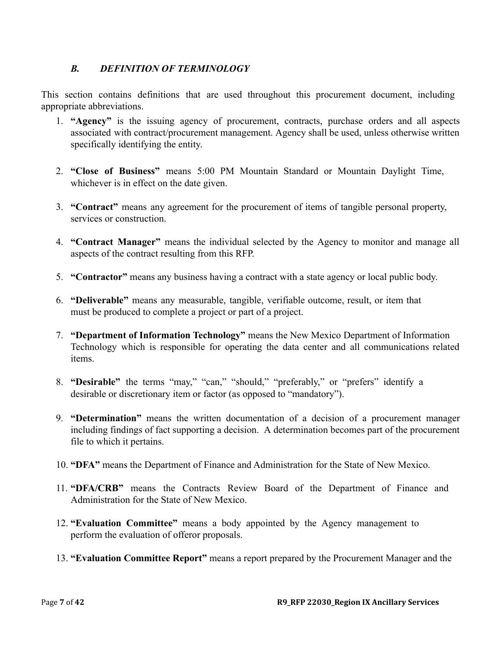## <span id="page-6-0"></span>*B. DEFINITION OF TERMINOLOGY*

This section contains definitions that are used throughout this procurement document, including appropriate abbreviations.

- 1. **"Agency"** is the issuing agency of procurement, contracts, purchase orders and all aspects associated with contract/procurement management. Agency shall be used, unless otherwise written specifically identifying the entity.
- 2. **"Close of Business"** means 5:00 PM Mountain Standard or Mountain Daylight Time, whichever is in effect on the date given.
- 3. **"Contract"** means any agreement for the procurement of items of tangible personal property, services or construction.
- 4. **"Contract Manager"** means the individual selected by the Agency to monitor and manage all aspects of the contract resulting from this RFP.
- 5. **"Contractor"** means any business having a contract with a state agency or local public body.
- 6. **"Deliverable"** means any measurable, tangible, verifiable outcome, result, or item that must be produced to complete a project or part of a project.
- 7. **"Department of Information Technology"** means the New Mexico Department of Information Technology which is responsible for operating the data center and all communications related items.
- 8. **"Desirable"** the terms "may," "can," "should," "preferably," or "prefers" identify a desirable or discretionary item or factor (as opposed to "mandatory").
- 9. **"Determination"** means the written documentation of a decision of a procurement manager including findings of fact supporting a decision. A determination becomes part of the procurement file to which it pertains.
- 10. **"DFA"** means the Department of Finance and Administration for the State of New Mexico.
- 11. **"DFA/CRB"** means the Contracts Review Board of the Department of Finance and Administration for the State of New Mexico.
- 12. **"Evaluation Committee"** means a body appointed by the Agency management to perform the evaluation of offeror proposals.
- 13. **"Evaluation Committee Report"** means a report prepared by the Procurement Manager and the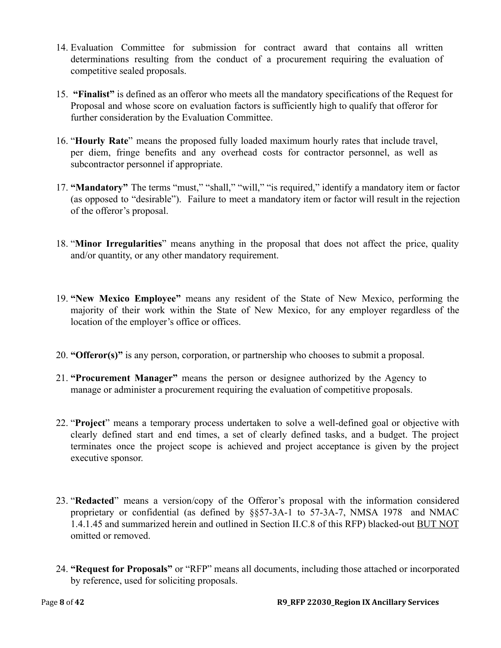- 14. Evaluation Committee for submission for contract award that contains all written determinations resulting from the conduct of a procurement requiring the evaluation of competitive sealed proposals.
- 15. **"Finalist"** is defined as an offeror who meets all the mandatory specifications of the Request for Proposal and whose score on evaluation factors is sufficiently high to qualify that offeror for further consideration by the Evaluation Committee.
- 16. "**Hourly Rate**" means the proposed fully loaded maximum hourly rates that include travel, per diem, fringe benefits and any overhead costs for contractor personnel, as well as subcontractor personnel if appropriate.
- 17. **"Mandatory"** The terms "must," "shall," "will," "is required," identify a mandatory item or factor (as opposed to "desirable"). Failure to meet a mandatory item or factor will result in the rejection of the offeror's proposal.
- 18. "**Minor Irregularities**" means anything in the proposal that does not affect the price, quality and/or quantity, or any other mandatory requirement.
- 19. **"New Mexico Employee"** means any resident of the State of New Mexico, performing the majority of their work within the State of New Mexico, for any employer regardless of the location of the employer's office or offices.
- 20. **"Offeror(s)"** is any person, corporation, or partnership who chooses to submit a proposal.
- 21. **"Procurement Manager"** means the person or designee authorized by the Agency to manage or administer a procurement requiring the evaluation of competitive proposals.
- 22. "**Project**" means a temporary process undertaken to solve a well-defined goal or objective with clearly defined start and end times, a set of clearly defined tasks, and a budget. The project terminates once the project scope is achieved and project acceptance is given by the project executive sponsor.
- 23. "**Redacted**" means a version/copy of the Offeror's proposal with the information considered proprietary or confidential (as defined by §§57-3A-1 to 57-3A-7, NMSA 1978 and NMAC 1.4.1.45 and summarized herein and outlined in Section II.C.8 of this RFP) blacked-out BUT NOT omitted or removed.
- 24. **"Request for Proposals"** or "RFP" means all documents, including those attached or incorporated by reference, used for soliciting proposals.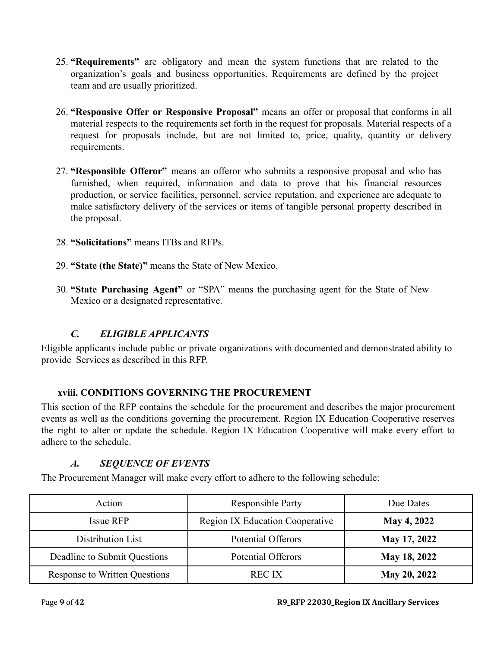- 25. **"Requirements"** are obligatory and mean the system functions that are related to the organization's goals and business opportunities. Requirements are defined by the project team and are usually prioritized.
- 26. **"Responsive Offer or Responsive Proposal"** means an offer or proposal that conforms in all material respects to the requirements set forth in the request for proposals. Material respects of a request for proposals include, but are not limited to, price, quality, quantity or delivery requirements.
- 27. **"Responsible Offeror"** means an offeror who submits a responsive proposal and who has furnished, when required, information and data to prove that his financial resources production, or service facilities, personnel, service reputation, and experience are adequate to make satisfactory delivery of the services or items of tangible personal property described in the proposal.
- 28. **"Solicitations"** means ITBs and RFPs.
- 29. **"State (the State)"** means the State of New Mexico.
- 30. **"State Purchasing Agent"** or "SPA" means the purchasing agent for the State of New Mexico or a designated representative.

## *C. ELIGIBLE APPLICANTS*

<span id="page-8-0"></span>Eligible applicants include public or private organizations with documented and demonstrated ability to provide Services as described in this RFP.

## <span id="page-8-1"></span>**xviii. CONDITIONS GOVERNING THE PROCUREMENT**

This section of the RFP contains the schedule for the procurement and describes the major procurement events as well as the conditions governing the procurement. Region IX Education Cooperative reserves the right to alter or update the schedule. Region IX Education Cooperative will make every effort to adhere to the schedule.

## *A. SEQUENCE OF EVENTS*

<span id="page-8-2"></span>The Procurement Manager will make every effort to adhere to the following schedule:

| Action                               | <b>Responsible Party</b>               | Due Dates           |
|--------------------------------------|----------------------------------------|---------------------|
| Issue RFP                            | <b>Region IX Education Cooperative</b> | <b>May 4, 2022</b>  |
| Distribution List                    | <b>Potential Offerors</b>              | <b>May 17, 2022</b> |
| Deadline to Submit Questions         | <b>Potential Offerors</b>              | May 18, 2022        |
| <b>Response to Written Questions</b> | <b>REC IX</b>                          | May 20, 2022        |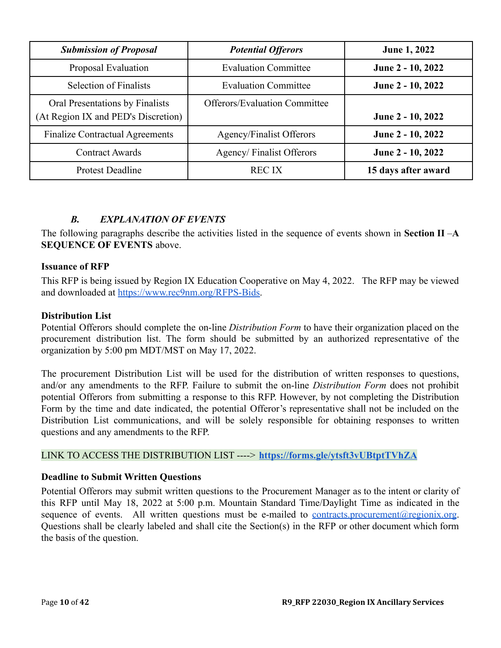| <b>Submission of Proposal</b>                                          | <b>Potential Offerors</b>            | <b>June 1, 2022</b> |
|------------------------------------------------------------------------|--------------------------------------|---------------------|
| Proposal Evaluation                                                    | <b>Evaluation Committee</b>          | June 2 - 10, 2022   |
| <b>Selection of Finalists</b>                                          | <b>Evaluation Committee</b>          | June 2 - 10, 2022   |
| Oral Presentations by Finalists<br>(At Region IX and PED's Discretion) | <b>Offerors/Evaluation Committee</b> | June 2 - 10, 2022   |
| <b>Finalize Contractual Agreements</b>                                 | Agency/Finalist Offerors             | June 2 - 10, 2022   |
| <b>Contract Awards</b>                                                 | Agency/Finalist Offerors             | June 2 - 10, 2022   |
| <b>Protest Deadline</b>                                                | <b>RECIX</b>                         | 15 days after award |

## *B. EXPLANATION OF EVENTS*

<span id="page-9-0"></span>The following paragraphs describe the activities listed in the sequence of events shown in **Section II** –**A SEQUENCE OF EVENTS** above.

### **Issuance of RFP**

This RFP is being issued by Region IX Education Cooperative on May 4, 2022. The RFP may be viewed and downloaded at [https://www.rec9nm.org/RFPS-Bids.](https://www.rec9nm.org/RFPS-Bids)

### **Distribution List**

Potential Offerors should complete the on-line *Distribution Form* to have their organization placed on the procurement distribution list. The form should be submitted by an authorized representative of the organization by 5:00 pm MDT/MST on May 17, 2022.

The procurement Distribution List will be used for the distribution of written responses to questions, and/or any amendments to the RFP. Failure to submit the on-line *Distribution Form* does not prohibit potential Offerors from submitting a response to this RFP. However, by not completing the Distribution Form by the time and date indicated, the potential Offeror's representative shall not be included on the Distribution List communications, and will be solely responsible for obtaining responses to written questions and any amendments to the RFP.

#### LINK TO ACCESS THE DISTRIBUTION LIST ----> **<https://forms.gle/ytsft3vUBtptTVhZA>**

#### **Deadline to Submit Written Questions**

Potential Offerors may submit written questions to the Procurement Manager as to the intent or clarity of this RFP until May 18, 2022 at 5:00 p.m. Mountain Standard Time/Daylight Time as indicated in the sequence of events. All written questions must be e-mailed to <u>[contracts.procurement@regionix.org](mailto:contracts.procurement@regionix.org)</u>. Questions shall be clearly labeled and shall cite the Section(s) in the RFP or other document which form the basis of the question.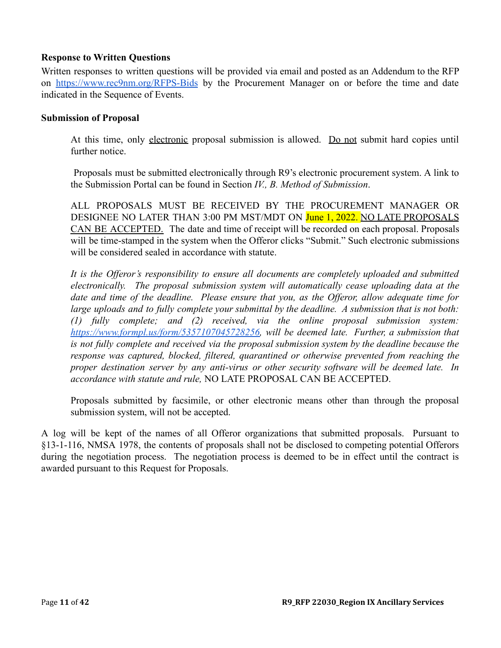### **Response to Written Questions**

Written responses to written questions will be provided via email and posted as an Addendum to the RFP on <https://www.rec9nm.org/RFPS-Bids> by the Procurement Manager on or before the time and date indicated in the Sequence of Events.

#### **Submission of Proposal**

At this time, only electronic proposal submission is allowed. Do not submit hard copies until further notice.

Proposals must be submitted electronically through R9's electronic procurement system. A link to the Submission Portal can be found in Section *IV., B. Method of Submission*.

ALL PROPOSALS MUST BE RECEIVED BY THE PROCUREMENT MANAGER OR DESIGNEE NO LATER THAN 3:00 PM MST/MDT ON June 1, 2022. NO LATE PROPOSALS CAN BE ACCEPTED. The date and time of receipt will be recorded on each proposal. Proposals will be time-stamped in the system when the Offeror clicks "Submit." Such electronic submissions will be considered sealed in accordance with statute.

*It is the Offeror's responsibility to ensure all documents are completely uploaded and submitted electronically. The proposal submission system will automatically cease uploading data at the date and time of the deadline. Please ensure that you, as the Offeror, allow adequate time for large uploads and to fully complete your submittal by the deadline. A submission that is not both: (1) fully complete; and (2) received, via the online proposal submission system: [https://www.formpl.us/form/5357107045728256,](https://www.formpl.us/form/5357107045728256) will be deemed late. Further, a submission that is not fully complete and received via the proposal submission system by the deadline because the response was captured, blocked, filtered, quarantined or otherwise prevented from reaching the proper destination server by any anti-virus or other security software will be deemed late. In accordance with statute and rule,* NO LATE PROPOSAL CAN BE ACCEPTED.

Proposals submitted by facsimile, or other electronic means other than through the proposal submission system, will not be accepted.

A log will be kept of the names of all Offeror organizations that submitted proposals. Pursuant to §13-1-116, NMSA 1978, the contents of proposals shall not be disclosed to competing potential Offerors during the negotiation process. The negotiation process is deemed to be in effect until the contract is awarded pursuant to this Request for Proposals.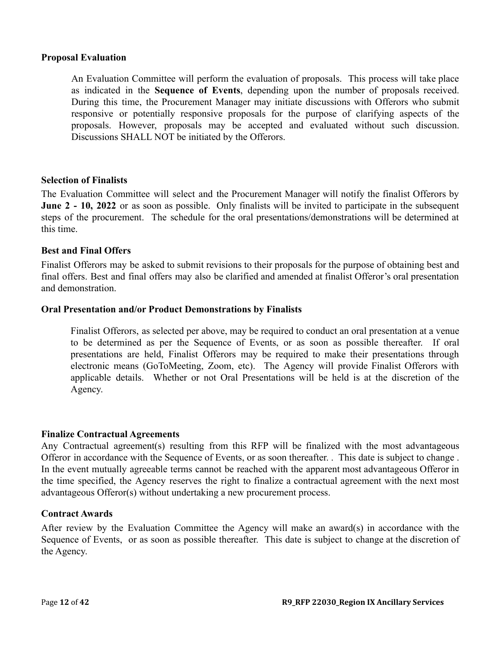#### **Proposal Evaluation**

An Evaluation Committee will perform the evaluation of proposals. This process will take place as indicated in the **Sequence of Events**, depending upon the number of proposals received. During this time, the Procurement Manager may initiate discussions with Offerors who submit responsive or potentially responsive proposals for the purpose of clarifying aspects of the proposals. However, proposals may be accepted and evaluated without such discussion. Discussions SHALL NOT be initiated by the Offerors.

#### **Selection of Finalists**

The Evaluation Committee will select and the Procurement Manager will notify the finalist Offerors by **June 2 - 10, 2022** or as soon as possible. Only finalists will be invited to participate in the subsequent steps of the procurement. The schedule for the oral presentations/demonstrations will be determined at this time.

#### **Best and Final Offers**

Finalist Offerors may be asked to submit revisions to their proposals for the purpose of obtaining best and final offers. Best and final offers may also be clarified and amended at finalist Offeror's oral presentation and demonstration.

#### **Oral Presentation and/or Product Demonstrations by Finalists**

Finalist Offerors, as selected per above, may be required to conduct an oral presentation at a venue to be determined as per the Sequence of Events, or as soon as possible thereafter. If oral presentations are held, Finalist Offerors may be required to make their presentations through electronic means (GoToMeeting, Zoom, etc). The Agency will provide Finalist Offerors with applicable details. Whether or not Oral Presentations will be held is at the discretion of the Agency.

#### **Finalize Contractual Agreements**

Any Contractual agreement(s) resulting from this RFP will be finalized with the most advantageous Offeror in accordance with the Sequence of Events, or as soon thereafter. . This date is subject to change . In the event mutually agreeable terms cannot be reached with the apparent most advantageous Offeror in the time specified, the Agency reserves the right to finalize a contractual agreement with the next most advantageous Offeror(s) without undertaking a new procurement process.

#### **Contract Awards**

After review by the Evaluation Committee the Agency will make an award(s) in accordance with the Sequence of Events, or as soon as possible thereafter. This date is subject to change at the discretion of the Agency.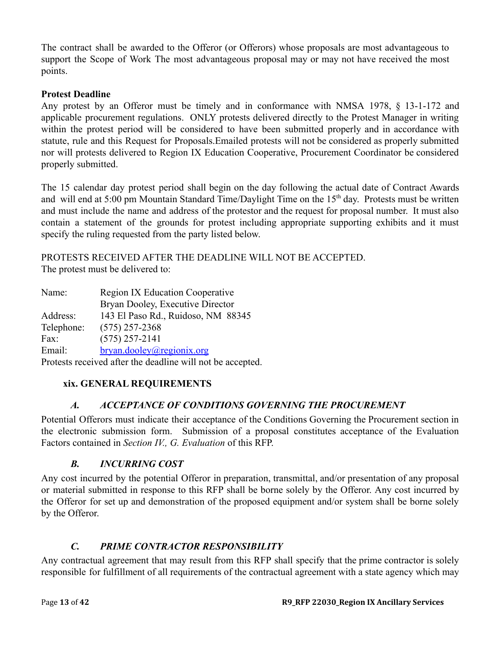The contract shall be awarded to the Offeror (or Offerors) whose proposals are most advantageous to support the Scope of Work The most advantageous proposal may or may not have received the most points.

## **Protest Deadline**

Any protest by an Offeror must be timely and in conformance with NMSA 1978, § 13-1-172 and applicable procurement regulations. ONLY protests delivered directly to the Protest Manager in writing within the protest period will be considered to have been submitted properly and in accordance with statute, rule and this Request for Proposals.Emailed protests will not be considered as properly submitted nor will protests delivered to Region IX Education Cooperative, Procurement Coordinator be considered properly submitted.

The 15 calendar day protest period shall begin on the day following the actual date of Contract Awards and will end at 5:00 pm Mountain Standard Time/Daylight Time on the 15<sup>th</sup> day. Protests must be written and must include the name and address of the protestor and the request for proposal number. It must also contain a statement of the grounds for protest including appropriate supporting exhibits and it must specify the ruling requested from the party listed below.

PROTESTS RECEIVED AFTER THE DEADLINE WILL NOT BE ACCEPTED. The protest must be delivered to:

| Name:                                                      | <b>Region IX Education Cooperative</b> |  |
|------------------------------------------------------------|----------------------------------------|--|
|                                                            | Bryan Dooley, Executive Director       |  |
| Address:                                                   | 143 El Paso Rd., Ruidoso, NM 88345     |  |
| Telephone:                                                 | $(575)$ 257-2368                       |  |
| Fax:                                                       | $(575)$ 257-2141                       |  |
| Email:                                                     | $b$ ryan.dooley@regionix.org           |  |
| Protests received after the deadline will not be accepted. |                                        |  |

## <span id="page-12-0"></span>**xix. GENERAL REQUIREMENTS**

## *A. ACCEPTANCE OF CONDITIONS GOVERNING THE PROCUREMENT*

<span id="page-12-1"></span>Potential Offerors must indicate their acceptance of the Conditions Governing the Procurement section in the electronic submission form. Submission of a proposal constitutes acceptance of the Evaluation Factors contained in *Section IV., G. Evaluation* of this RFP.

## *B. INCURRING COST*

<span id="page-12-2"></span>Any cost incurred by the potential Offeror in preparation, transmittal, and/or presentation of any proposal or material submitted in response to this RFP shall be borne solely by the Offeror. Any cost incurred by the Offeror for set up and demonstration of the proposed equipment and/or system shall be borne solely by the Offeror.

## *C. PRIME CONTRACTOR RESPONSIBILITY*

<span id="page-12-3"></span>Any contractual agreement that may result from this RFP shall specify that the prime contractor is solely responsible for fulfillment of all requirements of the contractual agreement with a state agency which may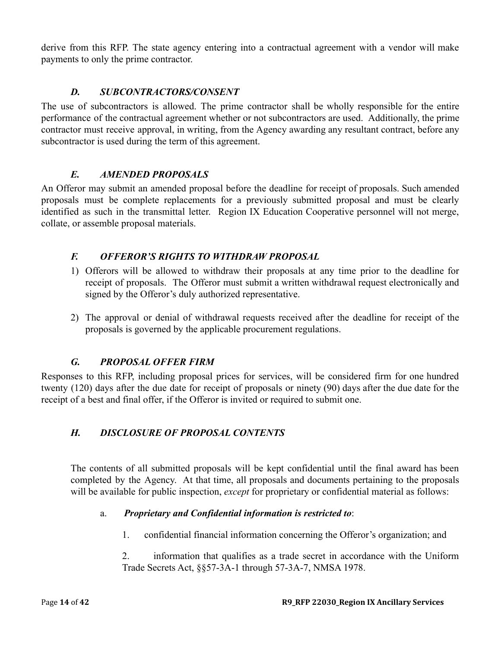derive from this RFP. The state agency entering into a contractual agreement with a vendor will make payments to only the prime contractor.

## *D. SUBCONTRACTORS/CONSENT*

<span id="page-13-0"></span>The use of subcontractors is allowed. The prime contractor shall be wholly responsible for the entire performance of the contractual agreement whether or not subcontractors are used. Additionally, the prime contractor must receive approval, in writing, from the Agency awarding any resultant contract, before any subcontractor is used during the term of this agreement.

## *E. AMENDED PROPOSALS*

<span id="page-13-1"></span>An Offeror may submit an amended proposal before the deadline for receipt of proposals. Such amended proposals must be complete replacements for a previously submitted proposal and must be clearly identified as such in the transmittal letter. Region IX Education Cooperative personnel will not merge, collate, or assemble proposal materials.

## <span id="page-13-2"></span>*F. OFFEROR'S RIGHTS TO WITHDRAW PROPOSAL*

- 1) Offerors will be allowed to withdraw their proposals at any time prior to the deadline for receipt of proposals. The Offeror must submit a written withdrawal request electronically and signed by the Offeror's duly authorized representative.
- 2) The approval or denial of withdrawal requests received after the deadline for receipt of the proposals is governed by the applicable procurement regulations.

## *G. PROPOSAL OFFER FIRM*

<span id="page-13-3"></span>Responses to this RFP, including proposal prices for services, will be considered firm for one hundred twenty (120) days after the due date for receipt of proposals or ninety (90) days after the due date for the receipt of a best and final offer, if the Offeror is invited or required to submit one.

## <span id="page-13-4"></span>*H. DISCLOSURE OF PROPOSAL CONTENTS*

The contents of all submitted proposals will be kept confidential until the final award has been completed by the Agency. At that time, all proposals and documents pertaining to the proposals will be available for public inspection, *except* for proprietary or confidential material as follows:

## a. *Proprietary and Confidential information is restricted to*:

1. confidential financial information concerning the Offeror's organization; and

2. information that qualifies as a trade secret in accordance with the Uniform Trade Secrets Act, §§57-3A-1 through 57-3A-7, NMSA 1978.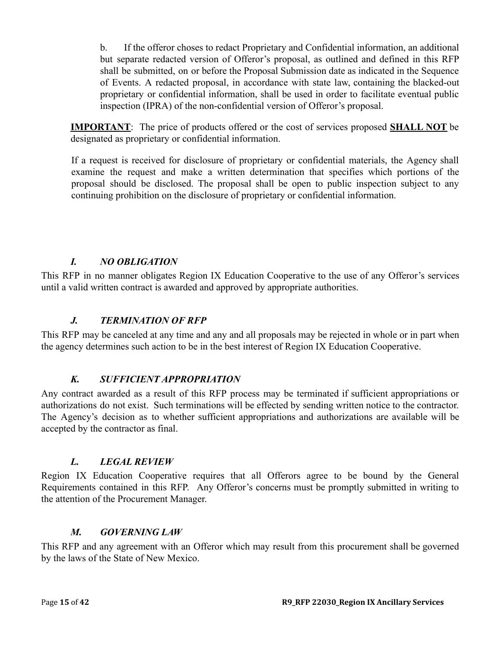b. If the offeror choses to redact Proprietary and Confidential information, an additional but separate redacted version of Offeror's proposal, as outlined and defined in this RFP shall be submitted, on or before the Proposal Submission date as indicated in the Sequence of Events. A redacted proposal, in accordance with state law, containing the blacked-out proprietary or confidential information, shall be used in order to facilitate eventual public inspection (IPRA) of the non-confidential version of Offeror's proposal.

**IMPORTANT**: The price of products offered or the cost of services proposed **SHALL NOT** be designated as proprietary or confidential information.

If a request is received for disclosure of proprietary or confidential materials, the Agency shall examine the request and make a written determination that specifies which portions of the proposal should be disclosed. The proposal shall be open to public inspection subject to any continuing prohibition on the disclosure of proprietary or confidential information.

## *I. NO OBLIGATION*

<span id="page-14-0"></span>This RFP in no manner obligates Region IX Education Cooperative to the use of any Offeror's services until a valid written contract is awarded and approved by appropriate authorities.

### *J. TERMINATION OF RFP*

<span id="page-14-1"></span>This RFP may be canceled at any time and any and all proposals may be rejected in whole or in part when the agency determines such action to be in the best interest of Region IX Education Cooperative.

## *K. SUFFICIENT APPROPRIATION*

<span id="page-14-2"></span>Any contract awarded as a result of this RFP process may be terminated if sufficient appropriations or authorizations do not exist. Such terminations will be effected by sending written notice to the contractor. The Agency's decision as to whether sufficient appropriations and authorizations are available will be accepted by the contractor as final.

## *L. LEGAL REVIEW*

<span id="page-14-3"></span>Region IX Education Cooperative requires that all Offerors agree to be bound by the General Requirements contained in this RFP. Any Offeror's concerns must be promptly submitted in writing to the attention of the Procurement Manager.

#### *M. GOVERNING LAW*

<span id="page-14-4"></span>This RFP and any agreement with an Offeror which may result from this procurement shall be governed by the laws of the State of New Mexico.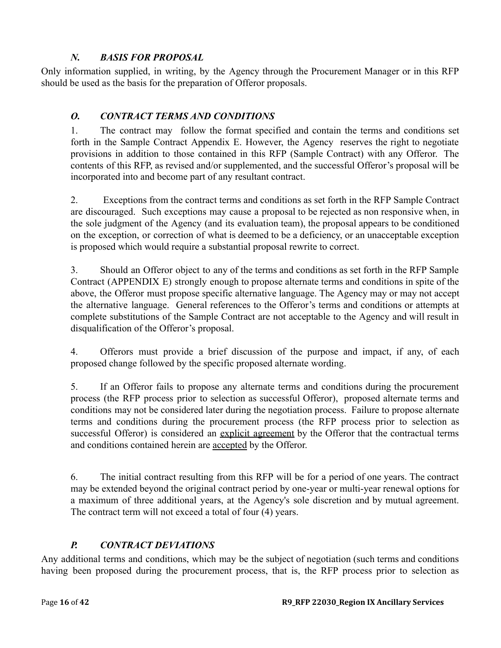## *N. BASIS FOR PROPOSAL*

<span id="page-15-0"></span>Only information supplied, in writing, by the Agency through the Procurement Manager or in this RFP should be used as the basis for the preparation of Offeror proposals.

# <span id="page-15-1"></span>*O. CONTRACT TERMS AND CONDITIONS*

1. The contract may follow the format specified and contain the terms and conditions set forth in the Sample Contract Appendix E. However, the Agency reserves the right to negotiate provisions in addition to those contained in this RFP (Sample Contract) with any Offeror. The contents of this RFP, as revised and/or supplemented, and the successful Offeror's proposal will be incorporated into and become part of any resultant contract.

2. Exceptions from the contract terms and conditions as set forth in the RFP Sample Contract are discouraged. Such exceptions may cause a proposal to be rejected as non responsive when, in the sole judgment of the Agency (and its evaluation team), the proposal appears to be conditioned on the exception, or correction of what is deemed to be a deficiency, or an unacceptable exception is proposed which would require a substantial proposal rewrite to correct.

3. Should an Offeror object to any of the terms and conditions as set forth in the RFP Sample Contract (APPENDIX E) strongly enough to propose alternate terms and conditions in spite of the above, the Offeror must propose specific alternative language. The Agency may or may not accept the alternative language. General references to the Offeror's terms and conditions or attempts at complete substitutions of the Sample Contract are not acceptable to the Agency and will result in disqualification of the Offeror's proposal.

4. Offerors must provide a brief discussion of the purpose and impact, if any, of each proposed change followed by the specific proposed alternate wording.

5. If an Offeror fails to propose any alternate terms and conditions during the procurement process (the RFP process prior to selection as successful Offeror), proposed alternate terms and conditions may not be considered later during the negotiation process. Failure to propose alternate terms and conditions during the procurement process (the RFP process prior to selection as successful Offeror) is considered an explicit agreement by the Offeror that the contractual terms and conditions contained herein are accepted by the Offeror.

6. The initial contract resulting from this RFP will be for a period of one years. The contract may be extended beyond the original contract period by one-year or multi-year renewal options for a maximum of three additional years, at the Agency's sole discretion and by mutual agreement. The contract term will not exceed a total of four (4) years.

# *P. CONTRACT DEVIATIONS*

<span id="page-15-2"></span>Any additional terms and conditions, which may be the subject of negotiation (such terms and conditions having been proposed during the procurement process, that is, the RFP process prior to selection as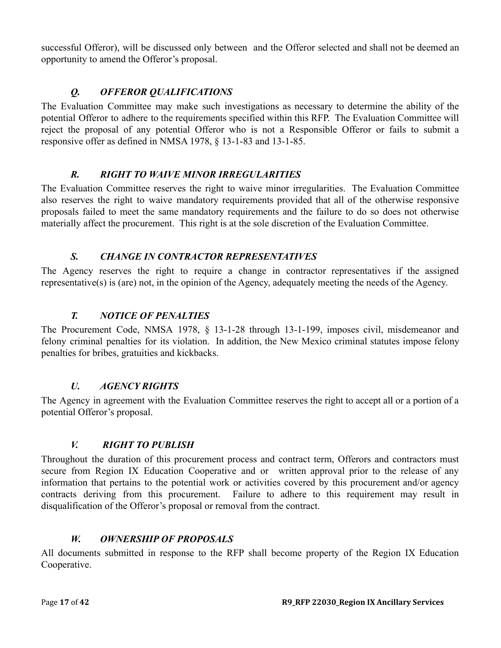successful Offeror), will be discussed only between and the Offeror selected and shall not be deemed an opportunity to amend the Offeror's proposal.

# *Q. OFFEROR QUALIFICATIONS*

<span id="page-16-0"></span>The Evaluation Committee may make such investigations as necessary to determine the ability of the potential Offeror to adhere to the requirements specified within this RFP. The Evaluation Committee will reject the proposal of any potential Offeror who is not a Responsible Offeror or fails to submit a responsive offer as defined in NMSA 1978, § 13-1-83 and 13-1-85.

## *R. RIGHT TO WAIVE MINOR IRREGULARITIES*

<span id="page-16-1"></span>The Evaluation Committee reserves the right to waive minor irregularities. The Evaluation Committee also reserves the right to waive mandatory requirements provided that all of the otherwise responsive proposals failed to meet the same mandatory requirements and the failure to do so does not otherwise materially affect the procurement. This right is at the sole discretion of the Evaluation Committee.

## *S. CHANGE IN CONTRACTOR REPRESENTATIVES*

<span id="page-16-2"></span>The Agency reserves the right to require a change in contractor representatives if the assigned representative(s) is (are) not, in the opinion of the Agency, adequately meeting the needs of the Agency.

# *T. NOTICE OF PENALTIES*

<span id="page-16-3"></span>The Procurement Code, NMSA 1978, § 13-1-28 through 13-1-199, imposes civil, misdemeanor and felony criminal penalties for its violation. In addition, the New Mexico criminal statutes impose felony penalties for bribes, gratuities and kickbacks.

## *U. AGENCY RIGHTS*

<span id="page-16-4"></span>The Agency in agreement with the Evaluation Committee reserves the right to accept all or a portion of a potential Offeror's proposal.

## *V. RIGHT TO PUBLISH*

<span id="page-16-5"></span>Throughout the duration of this procurement process and contract term, Offerors and contractors must secure from Region IX Education Cooperative and or written approval prior to the release of any information that pertains to the potential work or activities covered by this procurement and/or agency contracts deriving from this procurement. Failure to adhere to this requirement may result in disqualification of the Offeror's proposal or removal from the contract.

## *W. OWNERSHIP OF PROPOSALS*

<span id="page-16-6"></span>All documents submitted in response to the RFP shall become property of the Region IX Education Cooperative.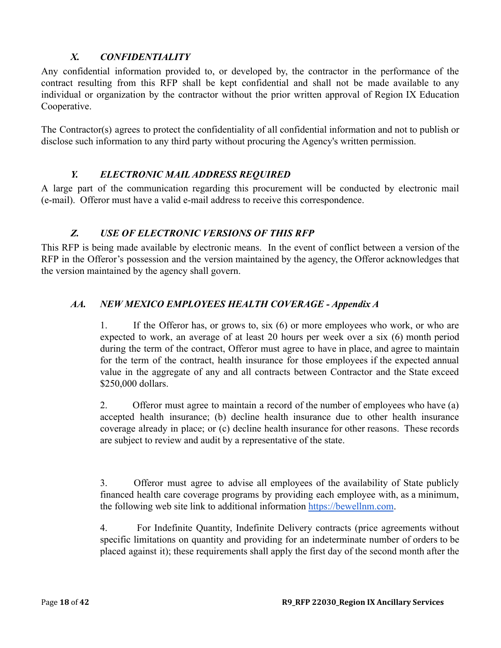## *X. CONFIDENTIALITY*

<span id="page-17-0"></span>Any confidential information provided to, or developed by, the contractor in the performance of the contract resulting from this RFP shall be kept confidential and shall not be made available to any individual or organization by the contractor without the prior written approval of Region IX Education Cooperative.

The Contractor(s) agrees to protect the confidentiality of all confidential information and not to publish or disclose such information to any third party without procuring the Agency's written permission.

## *Y. ELECTRONIC MAIL ADDRESS REQUIRED*

<span id="page-17-1"></span>A large part of the communication regarding this procurement will be conducted by electronic mail (e-mail). Offeror must have a valid e-mail address to receive this correspondence.

## *Z. USE OF ELECTRONIC VERSIONS OF THIS RFP*

<span id="page-17-2"></span>This RFP is being made available by electronic means. In the event of conflict between a version of the RFP in the Offeror's possession and the version maintained by the agency, the Offeror acknowledges that the version maintained by the agency shall govern.

## <span id="page-17-3"></span>*AA. NEW MEXICO EMPLOYEES HEALTH COVERAGE - Appendix A*

1. If the Offeror has, or grows to, six (6) or more employees who work, or who are expected to work, an average of at least 20 hours per week over a six (6) month period during the term of the contract, Offeror must agree to have in place, and agree to maintain for the term of the contract, health insurance for those employees if the expected annual value in the aggregate of any and all contracts between Contractor and the State exceed \$250,000 dollars.

2. Offeror must agree to maintain a record of the number of employees who have (a) accepted health insurance; (b) decline health insurance due to other health insurance coverage already in place; or (c) decline health insurance for other reasons. These records are subject to review and audit by a representative of the state.

3. Offeror must agree to advise all employees of the availability of State publicly financed health care coverage programs by providing each employee with, as a minimum, the following web site link to additional information [https://bewellnm.com](https://bewellnm.com/).

4. For Indefinite Quantity, Indefinite Delivery contracts (price agreements without specific limitations on quantity and providing for an indeterminate number of orders to be placed against it); these requirements shall apply the first day of the second month after the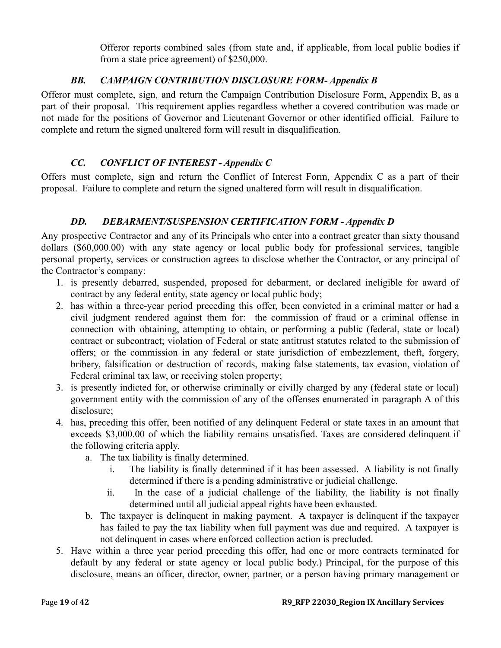Offeror reports combined sales (from state and, if applicable, from local public bodies if from a state price agreement) of \$250,000.

## *BB. CAMPAIGN CONTRIBUTION DISCLOSURE FORM- Appendix B*

<span id="page-18-0"></span>Offeror must complete, sign, and return the Campaign Contribution Disclosure Form, Appendix B, as a part of their proposal. This requirement applies regardless whether a covered contribution was made or not made for the positions of Governor and Lieutenant Governor or other identified official. Failure to complete and return the signed unaltered form will result in disqualification.

## *CC. CONFLICT OF INTEREST - Appendix C*

<span id="page-18-1"></span>Offers must complete, sign and return the Conflict of Interest Form, Appendix C as a part of their proposal. Failure to complete and return the signed unaltered form will result in disqualification.

## *DD. DEBARMENT/SUSPENSION CERTIFICATION FORM - Appendix D*

<span id="page-18-2"></span>Any prospective Contractor and any of its Principals who enter into a contract greater than sixty thousand dollars (\$60,000.00) with any state agency or local public body for professional services, tangible personal property, services or construction agrees to disclose whether the Contractor, or any principal of the Contractor's company:

- 1. is presently debarred, suspended, proposed for debarment, or declared ineligible for award of contract by any federal entity, state agency or local public body;
- 2. has within a three-year period preceding this offer, been convicted in a criminal matter or had a civil judgment rendered against them for: the commission of fraud or a criminal offense in connection with obtaining, attempting to obtain, or performing a public (federal, state or local) contract or subcontract; violation of Federal or state antitrust statutes related to the submission of offers; or the commission in any federal or state jurisdiction of embezzlement, theft, forgery, bribery, falsification or destruction of records, making false statements, tax evasion, violation of Federal criminal tax law, or receiving stolen property;
- 3. is presently indicted for, or otherwise criminally or civilly charged by any (federal state or local) government entity with the commission of any of the offenses enumerated in paragraph A of this disclosure;
- 4. has, preceding this offer, been notified of any delinquent Federal or state taxes in an amount that exceeds \$3,000.00 of which the liability remains unsatisfied. Taxes are considered delinquent if the following criteria apply.
	- a. The tax liability is finally determined.
		- i. The liability is finally determined if it has been assessed. A liability is not finally determined if there is a pending administrative or judicial challenge.
		- ii. In the case of a judicial challenge of the liability, the liability is not finally determined until all judicial appeal rights have been exhausted.
	- b. The taxpayer is delinquent in making payment. A taxpayer is delinquent if the taxpayer has failed to pay the tax liability when full payment was due and required. A taxpayer is not delinquent in cases where enforced collection action is precluded.
- 5. Have within a three year period preceding this offer, had one or more contracts terminated for default by any federal or state agency or local public body.) Principal, for the purpose of this disclosure, means an officer, director, owner, partner, or a person having primary management or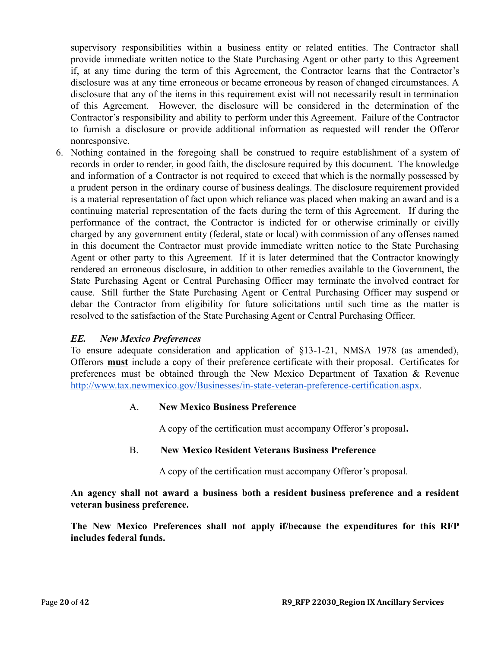supervisory responsibilities within a business entity or related entities. The Contractor shall provide immediate written notice to the State Purchasing Agent or other party to this Agreement if, at any time during the term of this Agreement, the Contractor learns that the Contractor's disclosure was at any time erroneous or became erroneous by reason of changed circumstances. A disclosure that any of the items in this requirement exist will not necessarily result in termination of this Agreement. However, the disclosure will be considered in the determination of the Contractor's responsibility and ability to perform under this Agreement. Failure of the Contractor to furnish a disclosure or provide additional information as requested will render the Offeror nonresponsive.

6. Nothing contained in the foregoing shall be construed to require establishment of a system of records in order to render, in good faith, the disclosure required by this document. The knowledge and information of a Contractor is not required to exceed that which is the normally possessed by a prudent person in the ordinary course of business dealings. The disclosure requirement provided is a material representation of fact upon which reliance was placed when making an award and is a continuing material representation of the facts during the term of this Agreement. If during the performance of the contract, the Contractor is indicted for or otherwise criminally or civilly charged by any government entity (federal, state or local) with commission of any offenses named in this document the Contractor must provide immediate written notice to the State Purchasing Agent or other party to this Agreement. If it is later determined that the Contractor knowingly rendered an erroneous disclosure, in addition to other remedies available to the Government, the State Purchasing Agent or Central Purchasing Officer may terminate the involved contract for cause. Still further the State Purchasing Agent or Central Purchasing Officer may suspend or debar the Contractor from eligibility for future solicitations until such time as the matter is resolved to the satisfaction of the State Purchasing Agent or Central Purchasing Officer.

## *EE. New Mexico Preferences*

To ensure adequate consideration and application of §13-1-21, NMSA 1978 (as amended), Offerors **must** include a copy of their preference certificate with their proposal. Certificates for preferences must be obtained through the New Mexico Department of Taxation & Revenu[e](http://www.tax.newmexico.gov/Businesses/in-state-veteran-preference-certification.aspx) [http://www.tax.newmexico.gov/Businesses/in-state-veteran-preference-certification.aspx.](http://www.tax.newmexico.gov/Businesses/in-state-veteran-preference-certification.aspx)

#### A. **New Mexico Business Preference**

A copy of the certification must accompany Offeror's proposal**.**

## B. **New Mexico Resident Veterans Business Preference**

A copy of the certification must accompany Offeror's proposal.

**An agency shall not award a business both a resident business preference and a resident veteran business preference.**

**The New Mexico Preferences shall not apply if/because the expenditures for this RFP includes federal funds.**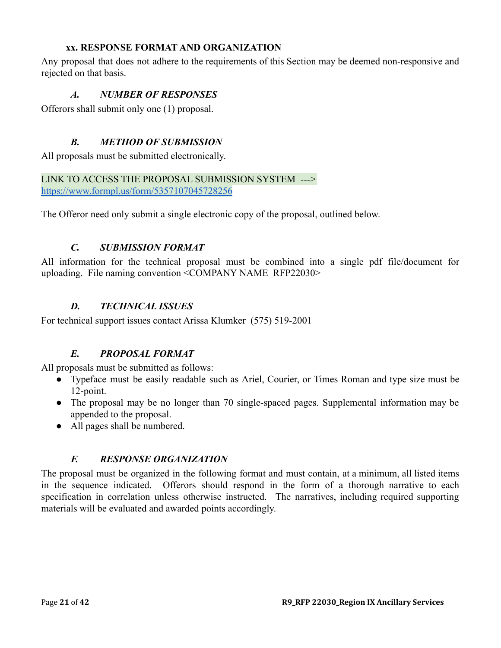### **xx. RESPONSE FORMAT AND ORGANIZATION**

<span id="page-20-1"></span><span id="page-20-0"></span>Any proposal that does not adhere to the requirements of this Section may be deemed non-responsive and rejected on that basis.

## *A. NUMBER OF RESPONSES*

<span id="page-20-2"></span>Offerors shall submit only one (1) proposal.

## *B. METHOD OF SUBMISSION*

All proposals must be submitted electronically.

### LINK TO ACCESS THE PROPOSAL SUBMISSION SYSTEM ---> <https://www.formpl.us/form/5357107045728256>

<span id="page-20-3"></span>The Offeror need only submit a single electronic copy of the proposal, outlined below.

## *C. SUBMISSION FORMAT*

All information for the technical proposal must be combined into a single pdf file/document for uploading. File naming convention <COMPANY NAME\_RFP22030>

## *D. TECHNICAL ISSUES*

<span id="page-20-5"></span><span id="page-20-4"></span>For technical support issues contact Arissa Klumker (575) 519-2001

## *E. PROPOSAL FORMAT*

All proposals must be submitted as follows:

- Typeface must be easily readable such as Ariel, Courier, or Times Roman and type size must be 12-point.
- The proposal may be no longer than 70 single-spaced pages. Supplemental information may be appended to the proposal.
- All pages shall be numbered.

## *F. RESPONSE ORGANIZATION*

<span id="page-20-6"></span>The proposal must be organized in the following format and must contain, at a minimum, all listed items in the sequence indicated. Offerors should respond in the form of a thorough narrative to each specification in correlation unless otherwise instructed. The narratives, including required supporting materials will be evaluated and awarded points accordingly.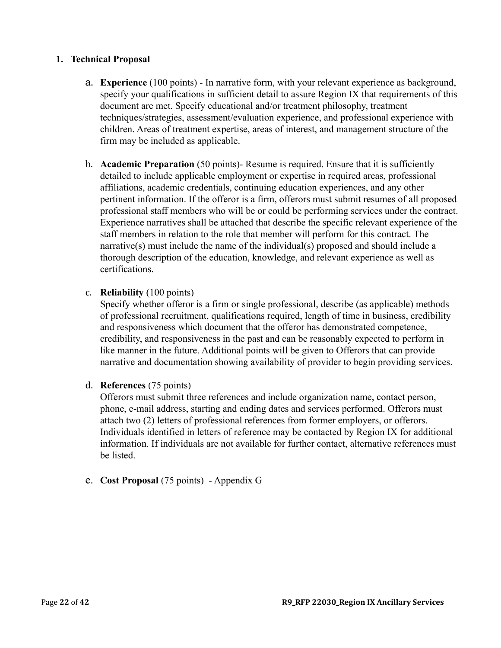### **1. Technical Proposal**

- a. **Experience** (100 points) In narrative form, with your relevant experience as background, specify your qualifications in sufficient detail to assure Region IX that requirements of this document are met. Specify educational and/or treatment philosophy, treatment techniques/strategies, assessment/evaluation experience, and professional experience with children. Areas of treatment expertise, areas of interest, and management structure of the firm may be included as applicable.
- b. **Academic Preparation** (50 points)- Resume is required. Ensure that it is sufficiently detailed to include applicable employment or expertise in required areas, professional affiliations, academic credentials, continuing education experiences, and any other pertinent information. If the offeror is a firm, offerors must submit resumes of all proposed professional staff members who will be or could be performing services under the contract. Experience narratives shall be attached that describe the specific relevant experience of the staff members in relation to the role that member will perform for this contract. The narrative(s) must include the name of the individual(s) proposed and should include a thorough description of the education, knowledge, and relevant experience as well as certifications.

### c. **Reliability** (100 points)

Specify whether offeror is a firm or single professional, describe (as applicable) methods of professional recruitment, qualifications required, length of time in business, credibility and responsiveness which document that the offeror has demonstrated competence, credibility, and responsiveness in the past and can be reasonably expected to perform in like manner in the future. Additional points will be given to Offerors that can provide narrative and documentation showing availability of provider to begin providing services.

#### d. **References** (75 points)

Offerors must submit three references and include organization name, contact person, phone, e-mail address, starting and ending dates and services performed. Offerors must attach two (2) letters of professional references from former employers, or offerors. Individuals identified in letters of reference may be contacted by Region IX for additional information. If individuals are not available for further contact, alternative references must be listed.

## e. **Cost Proposal** (75 points) - Appendix G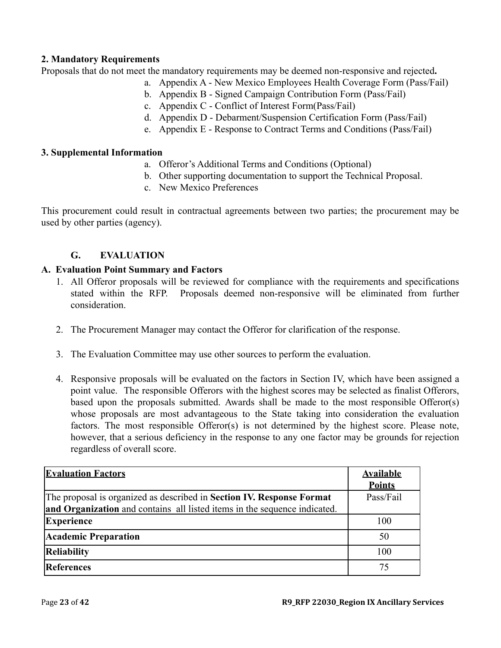## **2. Mandatory Requirements**

Proposals that do not meet the mandatory requirements may be deemed non-responsive and rejected**.**

- a. Appendix A New Mexico Employees Health Coverage Form (Pass/Fail)
- b. Appendix B Signed Campaign Contribution Form (Pass/Fail)
- c. Appendix C Conflict of Interest Form(Pass/Fail)
- d. Appendix D Debarment/Suspension Certification Form (Pass/Fail)
- e. Appendix E Response to Contract Terms and Conditions (Pass/Fail)

### **3. Supplemental Information**

- a. Offeror's Additional Terms and Conditions (Optional)
- b. Other supporting documentation to support the Technical Proposal.
- c. New Mexico Preferences

This procurement could result in contractual agreements between two parties; the procurement may be used by other parties (agency).

## **G. EVALUATION**

## <span id="page-22-0"></span>**A. Evaluation Point Summary and Factors**

- 1. All Offeror proposals will be reviewed for compliance with the requirements and specifications stated within the RFP. Proposals deemed non-responsive will be eliminated from further consideration.
- 2. The Procurement Manager may contact the Offeror for clarification of the response.
- 3. The Evaluation Committee may use other sources to perform the evaluation.
- 4. Responsive proposals will be evaluated on the factors in Section IV, which have been assigned a point value. The responsible Offerors with the highest scores may be selected as finalist Offerors, based upon the proposals submitted. Awards shall be made to the most responsible Offeror(s) whose proposals are most advantageous to the State taking into consideration the evaluation factors. The most responsible Offeror(s) is not determined by the highest score. Please note, however, that a serious deficiency in the response to any one factor may be grounds for rejection regardless of overall score.

| <b>Evaluation Factors</b>                                                 | <b>Available</b><br><b>Points</b> |
|---------------------------------------------------------------------------|-----------------------------------|
| The proposal is organized as described in Section IV. Response Format     | Pass/Fail                         |
| and Organization and contains all listed items in the sequence indicated. |                                   |
| <b>Experience</b>                                                         | 100                               |
| <b>Academic Preparation</b>                                               | 50                                |
| <b>Reliability</b>                                                        | 100                               |
| References                                                                | 75                                |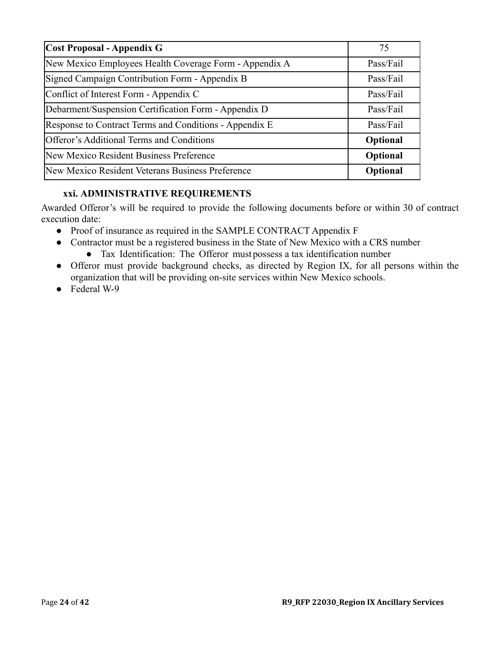| Cost Proposal - Appendix G                             | 75        |
|--------------------------------------------------------|-----------|
| New Mexico Employees Health Coverage Form - Appendix A | Pass/Fail |
| Signed Campaign Contribution Form - Appendix B         | Pass/Fail |
| Conflict of Interest Form - Appendix C                 | Pass/Fail |
| Debarment/Suspension Certification Form - Appendix D   | Pass/Fail |
| Response to Contract Terms and Conditions - Appendix E | Pass/Fail |
| Offeror's Additional Terms and Conditions              | Optional  |
| New Mexico Resident Business Preference                | Optional  |
| New Mexico Resident Veterans Business Preference       | Optional  |

## **xxi. ADMINISTRATIVE REQUIREMENTS**

<span id="page-23-0"></span>Awarded Offeror's will be required to provide the following documents before or within 30 of contract execution date:

- Proof of insurance as required in the SAMPLE CONTRACT Appendix F
- Contractor must be a registered business in the State of New Mexico with a CRS number ● Tax Identification: The Offeror mustpossess a tax identification number
- Offeror must provide background checks, as directed by Region IX, for all persons within the organization that will be providing on-site services within New Mexico schools.
- Federal W-9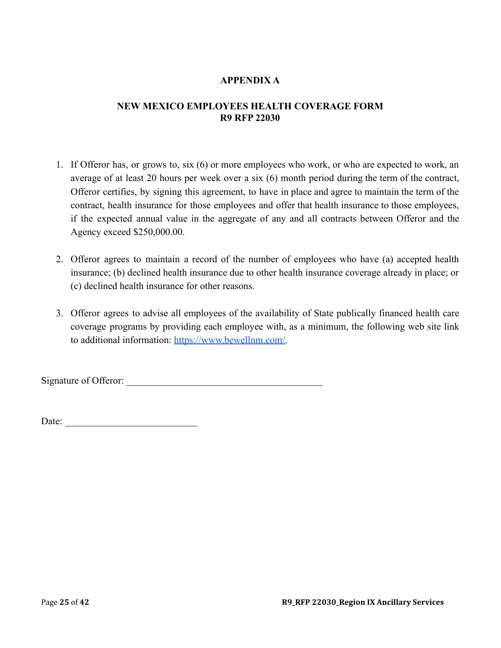## **APPENDIX A**

## <span id="page-24-0"></span>**NEW MEXICO EMPLOYEES HEALTH COVERAGE FORM R9 RFP 22030**

- 1. If Offeror has, or grows to, six (6) or more employees who work, or who are expected to work, an average of at least 20 hours per week over a six (6) month period during the term of the contract, Offeror certifies, by signing this agreement, to have in place and agree to maintain the term of the contract, health insurance for those employees and offer that health insurance to those employees, if the expected annual value in the aggregate of any and all contracts between Offeror and the Agency exceed \$250,000.00.
- 2. Offeror agrees to maintain a record of the number of employees who have (a) accepted health insurance; (b) declined health insurance due to other health insurance coverage already in place; or (c) declined health insurance for other reasons.
- 3. Offeror agrees to advise all employees of the availability of State publically financed health care coverage programs by providing each employee with, as a minimum, the following web site link to additional information: [https://www.bewellnm.com/.](https://www.bewellnm.com/)

Signature of Offeror: \_\_\_\_\_\_\_\_\_\_\_\_\_\_\_\_\_\_\_\_\_\_\_\_\_\_\_\_\_\_\_\_\_\_\_\_\_\_\_\_

Date:  $\frac{1}{2}$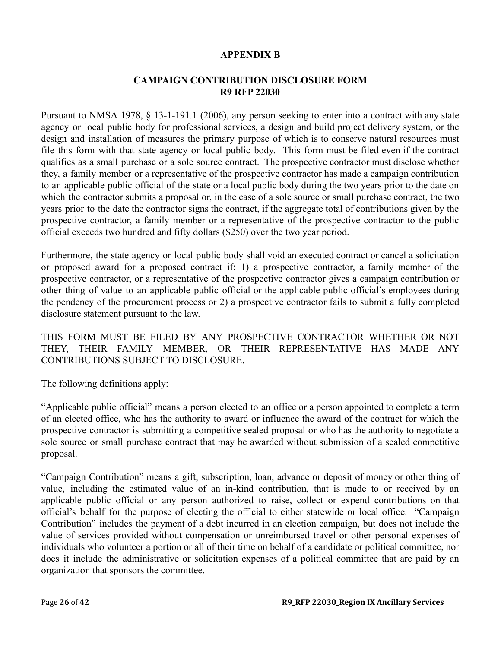### **APPENDIX B**

## **CAMPAIGN CONTRIBUTION DISCLOSURE FORM R9 RFP 22030**

<span id="page-25-0"></span>Pursuant to NMSA 1978, § 13-1-191.1 (2006), any person seeking to enter into a contract with any state agency or local public body for professional services, a design and build project delivery system, or the design and installation of measures the primary purpose of which is to conserve natural resources must file this form with that state agency or local public body. This form must be filed even if the contract qualifies as a small purchase or a sole source contract. The prospective contractor must disclose whether they, a family member or a representative of the prospective contractor has made a campaign contribution to an applicable public official of the state or a local public body during the two years prior to the date on which the contractor submits a proposal or, in the case of a sole source or small purchase contract, the two years prior to the date the contractor signs the contract, if the aggregate total of contributions given by the prospective contractor, a family member or a representative of the prospective contractor to the public official exceeds two hundred and fifty dollars (\$250) over the two year period.

Furthermore, the state agency or local public body shall void an executed contract or cancel a solicitation or proposed award for a proposed contract if: 1) a prospective contractor, a family member of the prospective contractor, or a representative of the prospective contractor gives a campaign contribution or other thing of value to an applicable public official or the applicable public official's employees during the pendency of the procurement process or 2) a prospective contractor fails to submit a fully completed disclosure statement pursuant to the law.

THIS FORM MUST BE FILED BY ANY PROSPECTIVE CONTRACTOR WHETHER OR NOT THEY, THEIR FAMILY MEMBER, OR THEIR REPRESENTATIVE HAS MADE ANY CONTRIBUTIONS SUBJECT TO DISCLOSURE.

The following definitions apply:

"Applicable public official" means a person elected to an office or a person appointed to complete a term of an elected office, who has the authority to award or influence the award of the contract for which the prospective contractor is submitting a competitive sealed proposal or who has the authority to negotiate a sole source or small purchase contract that may be awarded without submission of a sealed competitive proposal.

"Campaign Contribution" means a gift, subscription, loan, advance or deposit of money or other thing of value, including the estimated value of an in-kind contribution, that is made to or received by an applicable public official or any person authorized to raise, collect or expend contributions on that official's behalf for the purpose of electing the official to either statewide or local office. "Campaign Contribution" includes the payment of a debt incurred in an election campaign, but does not include the value of services provided without compensation or unreimbursed travel or other personal expenses of individuals who volunteer a portion or all of their time on behalf of a candidate or political committee, nor does it include the administrative or solicitation expenses of a political committee that are paid by an organization that sponsors the committee.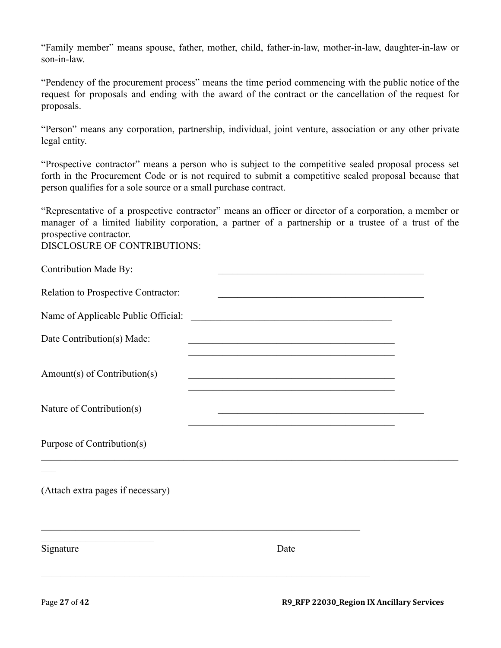"Family member" means spouse, father, mother, child, father-in-law, mother-in-law, daughter-in-law or son-in-law.

"Pendency of the procurement process" means the time period commencing with the public notice of the request for proposals and ending with the award of the contract or the cancellation of the request for proposals.

"Person" means any corporation, partnership, individual, joint venture, association or any other private legal entity.

"Prospective contractor" means a person who is subject to the competitive sealed proposal process set forth in the Procurement Code or is not required to submit a competitive sealed proposal because that person qualifies for a sole source or a small purchase contract.

"Representative of a prospective contractor" means an officer or director of a corporation, a member or manager of a limited liability corporation, a partner of a partnership or a trustee of a trust of the prospective contractor.

DISCLOSURE OF CONTRIBUTIONS:

| Contribution Made By:               | <u> 1950 - Johann John Stone, market fan it ferstjer fan it ferstjer fan it ferstjer fan it ferstjer fan it ferstjer fan it ferstjer fan it ferstjer fan it ferstjer fan it ferstjer fan it ferstjer fan it ferstjer fan it fers</u>         |  |
|-------------------------------------|----------------------------------------------------------------------------------------------------------------------------------------------------------------------------------------------------------------------------------------------|--|
| Relation to Prospective Contractor: | <u> 1989 - Johann John Stone, mars eta bainar eta baina eta baina eta baina eta baina eta baina eta baina eta ba</u>                                                                                                                         |  |
| Name of Applicable Public Official: | <u> 1989 - Johann Harry Harry Harry Harry Harry Harry Harry Harry Harry Harry Harry Harry Harry Harry Harry Harry</u>                                                                                                                        |  |
| Date Contribution(s) Made:          | <u> 2000 - 2000 - 2000 - 2000 - 2000 - 2000 - 2000 - 2000 - 2000 - 2000 - 2000 - 2000 - 2000 - 2000 - 2000 - 200</u>                                                                                                                         |  |
| Amount(s) of Contribution(s)        | <u> 1989 - Johann John Stone, markin amerikan basar dan berkembang dan berkembang dan berkembang dan berkembang da</u><br><u> 1989 - Johann John Stone, mars eta biztanleria (</u>                                                           |  |
| Nature of Contribution(s)           | <u> 1990 - Johann John Stone, mars eta bainar eta industrial eta erromana eta erromana eta erromana eta erromana</u><br><u> 1989 - Johann John Stone, mars eta bainar eta erroman eta erroman erroman erroman erroman erroman erroman er</u> |  |
| Purpose of Contribution(s)          |                                                                                                                                                                                                                                              |  |
| (Attach extra pages if necessary)   |                                                                                                                                                                                                                                              |  |
| Signature                           | Date                                                                                                                                                                                                                                         |  |
|                                     |                                                                                                                                                                                                                                              |  |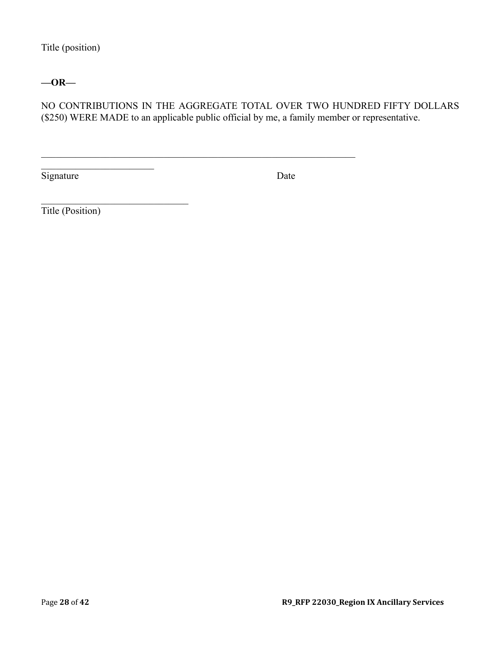Title (position)

## **—OR—**

NO CONTRIBUTIONS IN THE AGGREGATE TOTAL OVER TWO HUNDRED FIFTY DOLLARS (\$250) WERE MADE to an applicable public official by me, a family member or representative.

 $\mathcal{L}_\mathcal{L} = \{ \mathcal{L}_\mathcal{L} = \{ \mathcal{L}_\mathcal{L} = \{ \mathcal{L}_\mathcal{L} = \{ \mathcal{L}_\mathcal{L} = \{ \mathcal{L}_\mathcal{L} = \{ \mathcal{L}_\mathcal{L} = \{ \mathcal{L}_\mathcal{L} = \{ \mathcal{L}_\mathcal{L} = \{ \mathcal{L}_\mathcal{L} = \{ \mathcal{L}_\mathcal{L} = \{ \mathcal{L}_\mathcal{L} = \{ \mathcal{L}_\mathcal{L} = \{ \mathcal{L}_\mathcal{L} = \{ \mathcal{L}_\mathcal{$ 

Signature Date

Title (Position)

\_\_\_\_\_\_\_\_\_\_\_\_\_\_\_\_\_\_\_\_\_\_\_

 $\mathcal{L}_\text{max}$  , where  $\mathcal{L}_\text{max}$  and  $\mathcal{L}_\text{max}$  and  $\mathcal{L}_\text{max}$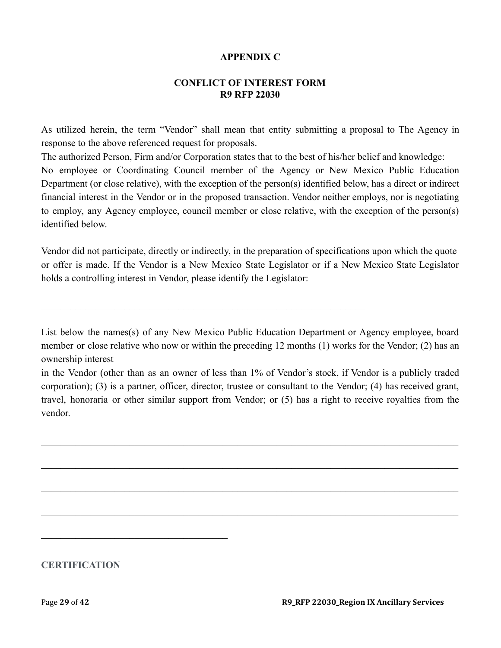### **APPENDIX C**

### **CONFLICT OF INTEREST FORM R9 RFP 22030**

<span id="page-28-0"></span>As utilized herein, the term "Vendor" shall mean that entity submitting a proposal to The Agency in response to the above referenced request for proposals.

The authorized Person, Firm and/or Corporation states that to the best of his/her belief and knowledge: No employee or Coordinating Council member of the Agency or New Mexico Public Education Department (or close relative), with the exception of the person(s) identified below, has a direct or indirect financial interest in the Vendor or in the proposed transaction. Vendor neither employs, nor is negotiating to employ, any Agency employee, council member or close relative, with the exception of the person(s) identified below.

Vendor did not participate, directly or indirectly, in the preparation of specifications upon which the quote or offer is made. If the Vendor is a New Mexico State Legislator or if a New Mexico State Legislator holds a controlling interest in Vendor, please identify the Legislator:

 $\mathcal{L}_\mathcal{L} = \{ \mathcal{L}_\mathcal{L} = \{ \mathcal{L}_\mathcal{L} = \{ \mathcal{L}_\mathcal{L} = \{ \mathcal{L}_\mathcal{L} = \{ \mathcal{L}_\mathcal{L} = \{ \mathcal{L}_\mathcal{L} = \{ \mathcal{L}_\mathcal{L} = \{ \mathcal{L}_\mathcal{L} = \{ \mathcal{L}_\mathcal{L} = \{ \mathcal{L}_\mathcal{L} = \{ \mathcal{L}_\mathcal{L} = \{ \mathcal{L}_\mathcal{L} = \{ \mathcal{L}_\mathcal{L} = \{ \mathcal{L}_\mathcal{$ 

List below the names(s) of any New Mexico Public Education Department or Agency employee, board member or close relative who now or within the preceding 12 months (1) works for the Vendor; (2) has an ownership interest

in the Vendor (other than as an owner of less than 1% of Vendor's stock, if Vendor is a publicly traded corporation); (3) is a partner, officer, director, trustee or consultant to the Vendor; (4) has received grant, travel, honoraria or other similar support from Vendor; or (5) has a right to receive royalties from the vendor.

 $\_$  , and the contribution of the contribution of the contribution of the contribution of  $\mathcal{L}_\text{max}$ 

 $\_$  , and the contribution of the contribution of the contribution of the contribution of  $\mathcal{L}_\text{max}$ 

 $\_$  , and the contribution of the contribution of the contribution of the contribution of  $\mathcal{L}_\text{max}$ 

 $\_$  , and the contribution of the contribution of the contribution of the contribution of  $\mathcal{L}_\text{max}$ 

**CERTIFICATION**

 $\mathcal{L}_\text{max}$  and  $\mathcal{L}_\text{max}$  and  $\mathcal{L}_\text{max}$  and  $\mathcal{L}_\text{max}$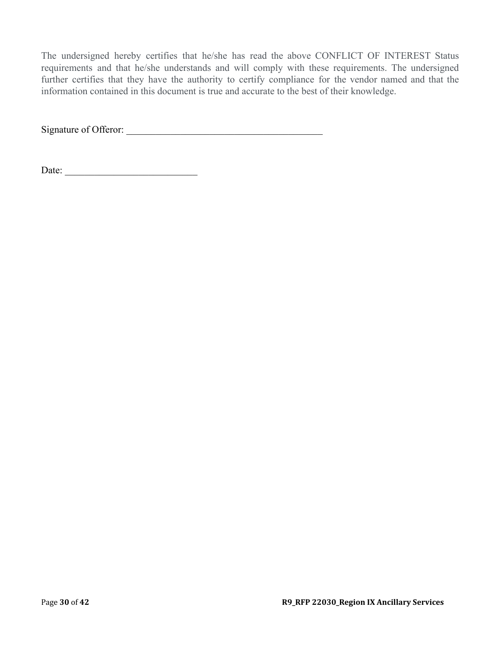The undersigned hereby certifies that he/she has read the above CONFLICT OF INTEREST Status requirements and that he/she understands and will comply with these requirements. The undersigned further certifies that they have the authority to certify compliance for the vendor named and that the information contained in this document is true and accurate to the best of their knowledge.

Signature of Offeror: \_\_\_\_\_\_\_\_\_\_\_\_\_\_\_\_\_\_\_\_\_\_\_\_\_\_\_\_\_\_\_\_\_\_\_\_\_\_\_\_

Date: \_\_\_\_\_\_\_\_\_\_\_\_\_\_\_\_\_\_\_\_\_\_\_\_\_\_\_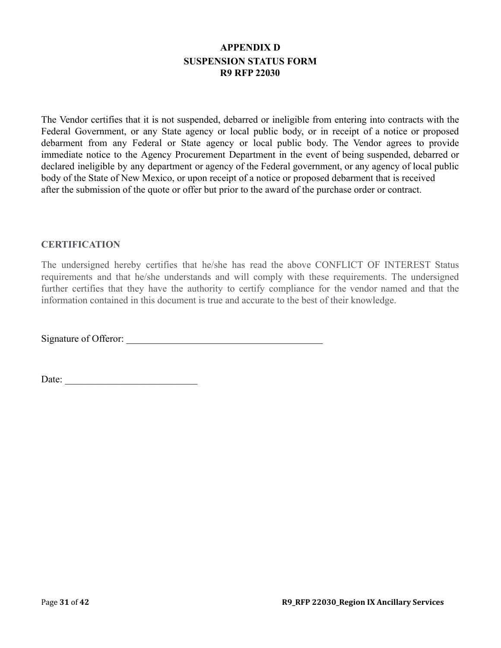## **APPENDIX D SUSPENSION STATUS FORM R9 RFP 22030**

<span id="page-30-0"></span>The Vendor certifies that it is not suspended, debarred or ineligible from entering into contracts with the Federal Government, or any State agency or local public body, or in receipt of a notice or proposed debarment from any Federal or State agency or local public body. The Vendor agrees to provide immediate notice to the Agency Procurement Department in the event of being suspended, debarred or declared ineligible by any department or agency of the Federal government, or any agency of local public body of the State of New Mexico, or upon receipt of a notice or proposed debarment that is received after the submission of the quote or offer but prior to the award of the purchase order or contract.

### **CERTIFICATION**

The undersigned hereby certifies that he/she has read the above CONFLICT OF INTEREST Status requirements and that he/she understands and will comply with these requirements. The undersigned further certifies that they have the authority to certify compliance for the vendor named and that the information contained in this document is true and accurate to the best of their knowledge.

Signature of Offeror: \_\_\_\_\_\_\_\_\_\_\_\_\_\_\_\_\_\_\_\_\_\_\_\_\_\_\_\_\_\_\_\_\_\_\_\_\_\_\_\_

Date: \_\_\_\_\_\_\_\_\_\_\_\_\_\_\_\_\_\_\_\_\_\_\_\_\_\_\_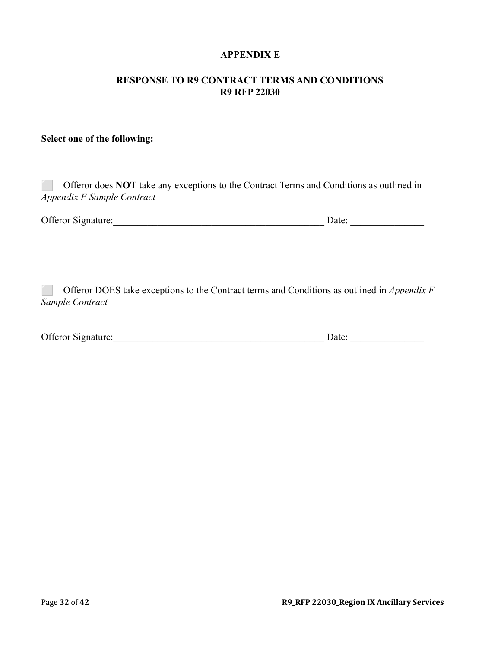### **APPENDIX E**

### <span id="page-31-0"></span>**RESPONSE TO R9 CONTRACT TERMS AND CONDITIONS R9 RFP 22030**

### **Select one of the following:**

| Offeror does <b>NOT</b> take any exceptions to the Contract Terms and Conditions as outlined in |
|-------------------------------------------------------------------------------------------------|
| Appendix F Sample Contract                                                                      |
|                                                                                                 |

| Offeror Signature: |  | )ate: |  |
|--------------------|--|-------|--|
|--------------------|--|-------|--|

⬜ Offeror DOES take exceptions to the Contract terms and Conditions as outlined in *Appendix F Sample Contract*

| Offeror Signature: |  | )ate |  |
|--------------------|--|------|--|
|--------------------|--|------|--|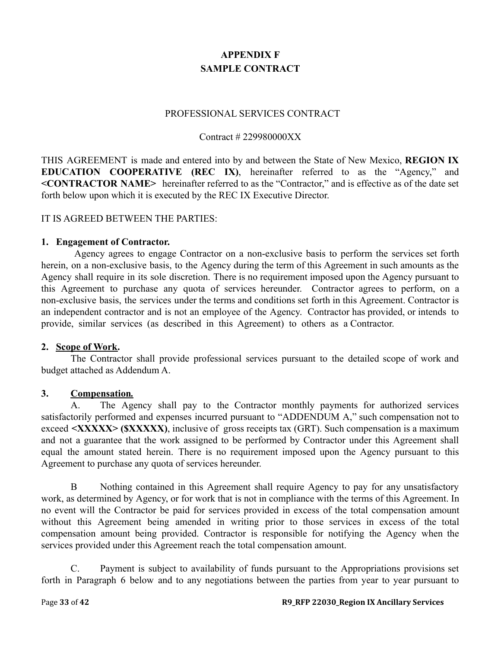# **APPENDIX F SAMPLE CONTRACT**

#### PROFESSIONAL SERVICES CONTRACT

### Contract # 229980000XX

<span id="page-32-0"></span>THIS AGREEMENT is made and entered into by and between the State of New Mexico, **REGION IX EDUCATION COOPERATIVE (REC IX)**, hereinafter referred to as the "Agency," and **<CONTRACTOR NAME>** hereinafter referred to as the "Contractor," and is effective as of the date set forth below upon which it is executed by the REC IX Executive Director.

### IT IS AGREED BETWEEN THE PARTIES:

#### **1. Engagement of Contractor.**

Agency agrees to engage Contractor on a non-exclusive basis to perform the services set forth herein, on a non-exclusive basis, to the Agency during the term of this Agreement in such amounts as the Agency shall require in its sole discretion. There is no requirement imposed upon the Agency pursuant to this Agreement to purchase any quota of services hereunder. Contractor agrees to perform, on a non-exclusive basis, the services under the terms and conditions set forth in this Agreement. Contractor is an independent contractor and is not an employee of the Agency. Contractor has provided, or intends to provide, similar services (as described in this Agreement) to others as a Contractor.

#### **2. Scope of Work.**

The Contractor shall provide professional services pursuant to the detailed scope of work and budget attached as Addendum A.

## **3. Compensation***.*

A. The Agency shall pay to the Contractor monthly payments for authorized services satisfactorily performed and expenses incurred pursuant to "ADDENDUM A," such compensation not to exceed **<XXXXX> (\$XXXXX)**, inclusive of gross receipts tax (GRT). Such compensation is a maximum and not a guarantee that the work assigned to be performed by Contractor under this Agreement shall equal the amount stated herein. There is no requirement imposed upon the Agency pursuant to this Agreement to purchase any quota of services hereunder.

B Nothing contained in this Agreement shall require Agency to pay for any unsatisfactory work, as determined by Agency, or for work that is not in compliance with the terms of this Agreement. In no event will the Contractor be paid for services provided in excess of the total compensation amount without this Agreement being amended in writing prior to those services in excess of the total compensation amount being provided. Contractor is responsible for notifying the Agency when the services provided under this Agreement reach the total compensation amount.

C. Payment is subject to availability of funds pursuant to the Appropriations provisions set forth in Paragraph 6 below and to any negotiations between the parties from year to year pursuant to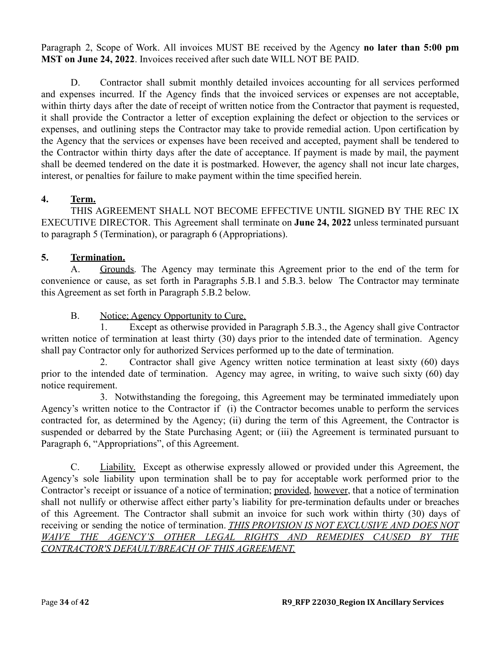Paragraph 2, Scope of Work. All invoices MUST BE received by the Agency **no later than 5:00 pm MST on June 24, 2022**. Invoices received after such date WILL NOT BE PAID.

D. Contractor shall submit monthly detailed invoices accounting for all services performed and expenses incurred. If the Agency finds that the invoiced services or expenses are not acceptable, within thirty days after the date of receipt of written notice from the Contractor that payment is requested, it shall provide the Contractor a letter of exception explaining the defect or objection to the services or expenses, and outlining steps the Contractor may take to provide remedial action. Upon certification by the Agency that the services or expenses have been received and accepted, payment shall be tendered to the Contractor within thirty days after the date of acceptance. If payment is made by mail, the payment shall be deemed tendered on the date it is postmarked. However, the agency shall not incur late charges, interest, or penalties for failure to make payment within the time specified herein.

## **4. Term.**

THIS AGREEMENT SHALL NOT BECOME EFFECTIVE UNTIL SIGNED BY THE REC IX EXECUTIVE DIRECTOR. This Agreement shall terminate on **June 24, 2022** unless terminated pursuant to paragraph 5 (Termination), or paragraph 6 (Appropriations).

## **5. Termination.**

A. Grounds. The Agency may terminate this Agreement prior to the end of the term for convenience or cause, as set forth in Paragraphs 5.B.1 and 5.B.3. below The Contractor may terminate this Agreement as set forth in Paragraph 5.B.2 below.

## B. Notice: Agency Opportunity to Cure.

1. Except as otherwise provided in Paragraph 5.B.3., the Agency shall give Contractor written notice of termination at least thirty (30) days prior to the intended date of termination. Agency shall pay Contractor only for authorized Services performed up to the date of termination.

2. Contractor shall give Agency written notice termination at least sixty (60) days prior to the intended date of termination. Agency may agree, in writing, to waive such sixty (60) day notice requirement.

3. Notwithstanding the foregoing, this Agreement may be terminated immediately upon Agency's written notice to the Contractor if (i) the Contractor becomes unable to perform the services contracted for, as determined by the Agency; (ii) during the term of this Agreement, the Contractor is suspended or debarred by the State Purchasing Agent; or (iii) the Agreement is terminated pursuant to Paragraph 6, "Appropriations", of this Agreement.

C. Liability. Except as otherwise expressly allowed or provided under this Agreement, the Agency's sole liability upon termination shall be to pay for acceptable work performed prior to the Contractor's receipt or issuance of a notice of termination; provided, however, that a notice of termination shall not nullify or otherwise affect either party's liability for pre-termination defaults under or breaches of this Agreement. The Contractor shall submit an invoice for such work within thirty (30) days of receiving or sending the notice of termination. *THIS PROVISION IS NOT EXCLUSIVE AND DOES NOT WAIVE THE AGENCY'S OTHER LEGAL RIGHTS AND REMEDIES CAUSED BY THE CONTRACTOR'S DEFAULT/BREACH OF THIS AGREEMENT.*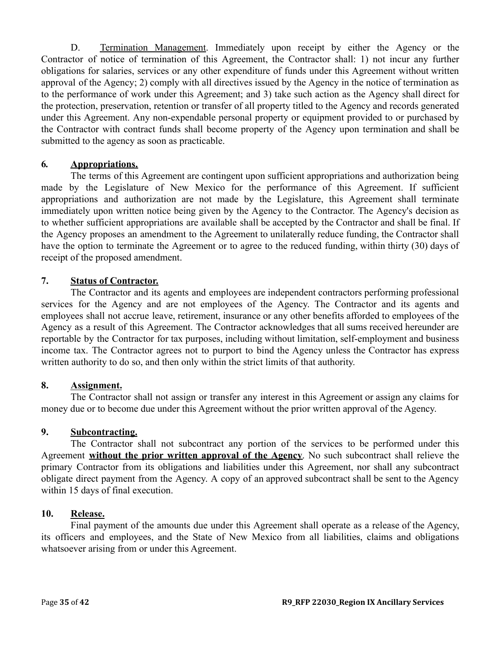D. Termination Management. Immediately upon receipt by either the Agency or the Contractor of notice of termination of this Agreement, the Contractor shall: 1) not incur any further obligations for salaries, services or any other expenditure of funds under this Agreement without written approval of the Agency; 2) comply with all directives issued by the Agency in the notice of termination as to the performance of work under this Agreement; and 3) take such action as the Agency shall direct for the protection, preservation, retention or transfer of all property titled to the Agency and records generated under this Agreement. Any non-expendable personal property or equipment provided to or purchased by the Contractor with contract funds shall become property of the Agency upon termination and shall be submitted to the agency as soon as practicable.

## **6***.* **Appropriations.**

The terms of this Agreement are contingent upon sufficient appropriations and authorization being made by the Legislature of New Mexico for the performance of this Agreement. If sufficient appropriations and authorization are not made by the Legislature, this Agreement shall terminate immediately upon written notice being given by the Agency to the Contractor. The Agency's decision as to whether sufficient appropriations are available shall be accepted by the Contractor and shall be final. If the Agency proposes an amendment to the Agreement to unilaterally reduce funding, the Contractor shall have the option to terminate the Agreement or to agree to the reduced funding, within thirty (30) days of receipt of the proposed amendment.

## **7. Status of Contractor.**

The Contractor and its agents and employees are independent contractors performing professional services for the Agency and are not employees of the Agency. The Contractor and its agents and employees shall not accrue leave, retirement, insurance or any other benefits afforded to employees of the Agency as a result of this Agreement. The Contractor acknowledges that all sums received hereunder are reportable by the Contractor for tax purposes, including without limitation, self-employment and business income tax. The Contractor agrees not to purport to bind the Agency unless the Contractor has express written authority to do so, and then only within the strict limits of that authority.

## **8. Assignment.**

The Contractor shall not assign or transfer any interest in this Agreement or assign any claims for money due or to become due under this Agreement without the prior written approval of the Agency.

## **9. Subcontracting.**

The Contractor shall not subcontract any portion of the services to be performed under this Agreement **without the prior written approval of the Agency**. No such subcontract shall relieve the primary Contractor from its obligations and liabilities under this Agreement, nor shall any subcontract obligate direct payment from the Agency. A copy of an approved subcontract shall be sent to the Agency within 15 days of final execution.

#### **10. Release.**

Final payment of the amounts due under this Agreement shall operate as a release of the Agency, its officers and employees, and the State of New Mexico from all liabilities, claims and obligations whatsoever arising from or under this Agreement.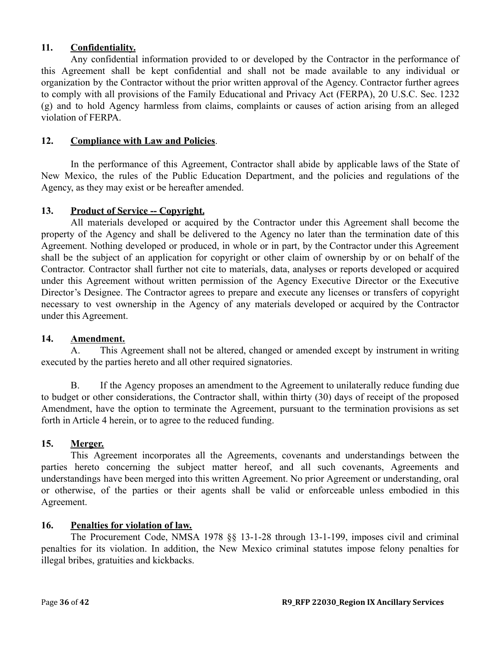### **11. Confidentiality.**

Any confidential information provided to or developed by the Contractor in the performance of this Agreement shall be kept confidential and shall not be made available to any individual or organization by the Contractor without the prior written approval of the Agency. Contractor further agrees to comply with all provisions of the Family Educational and Privacy Act (FERPA), 20 U.S.C. Sec. 1232 (g) and to hold Agency harmless from claims, complaints or causes of action arising from an alleged violation of FERPA.

### **12. Compliance with Law and Policies**.

In the performance of this Agreement, Contractor shall abide by applicable laws of the State of New Mexico, the rules of the Public Education Department, and the policies and regulations of the Agency, as they may exist or be hereafter amended.

### 13. **Product of Service -- Copyright.**

All materials developed or acquired by the Contractor under this Agreement shall become the property of the Agency and shall be delivered to the Agency no later than the termination date of this Agreement. Nothing developed or produced, in whole or in part, by the Contractor under this Agreement shall be the subject of an application for copyright or other claim of ownership by or on behalf of the Contractor. Contractor shall further not cite to materials, data, analyses or reports developed or acquired under this Agreement without written permission of the Agency Executive Director or the Executive Director's Designee. The Contractor agrees to prepare and execute any licenses or transfers of copyright necessary to vest ownership in the Agency of any materials developed or acquired by the Contractor under this Agreement.

#### **14. Amendment.**

A. This Agreement shall not be altered, changed or amended except by instrument in writing executed by the parties hereto and all other required signatories.

B. If the Agency proposes an amendment to the Agreement to unilaterally reduce funding due to budget or other considerations, the Contractor shall, within thirty (30) days of receipt of the proposed Amendment, have the option to terminate the Agreement, pursuant to the termination provisions as set forth in Article 4 herein, or to agree to the reduced funding.

## **15. Merger.**

This Agreement incorporates all the Agreements, covenants and understandings between the parties hereto concerning the subject matter hereof, and all such covenants, Agreements and understandings have been merged into this written Agreement. No prior Agreement or understanding, oral or otherwise, of the parties or their agents shall be valid or enforceable unless embodied in this Agreement.

#### **16. Penalties for violation of law.**

The Procurement Code, NMSA 1978 §§ 13-1-28 through 13-1-199, imposes civil and criminal penalties for its violation. In addition, the New Mexico criminal statutes impose felony penalties for illegal bribes, gratuities and kickbacks.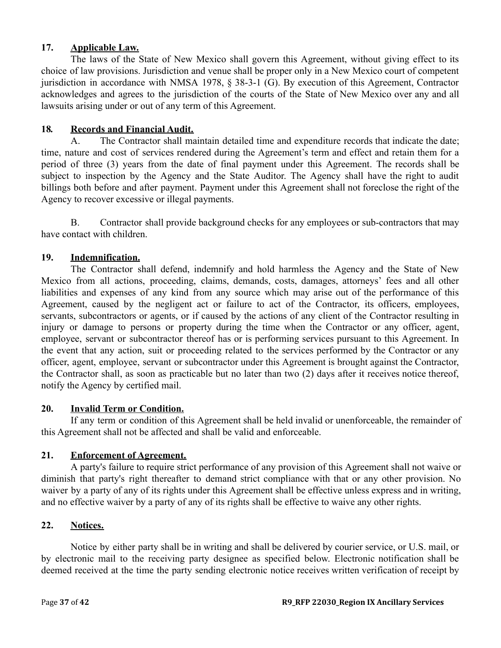## **17. Applicable Law.**

The laws of the State of New Mexico shall govern this Agreement, without giving effect to its choice of law provisions. Jurisdiction and venue shall be proper only in a New Mexico court of competent jurisdiction in accordance with NMSA 1978, § 38-3-1 (G). By execution of this Agreement, Contractor acknowledges and agrees to the jurisdiction of the courts of the State of New Mexico over any and all lawsuits arising under or out of any term of this Agreement.

### **18***.* **Records and Financial Audit.**

A. The Contractor shall maintain detailed time and expenditure records that indicate the date; time, nature and cost of services rendered during the Agreement's term and effect and retain them for a period of three (3) years from the date of final payment under this Agreement. The records shall be subject to inspection by the Agency and the State Auditor. The Agency shall have the right to audit billings both before and after payment. Payment under this Agreement shall not foreclose the right of the Agency to recover excessive or illegal payments.

B. Contractor shall provide background checks for any employees or sub-contractors that may have contact with children.

## **19. Indemnification.**

The Contractor shall defend, indemnify and hold harmless the Agency and the State of New Mexico from all actions, proceeding, claims, demands, costs, damages, attorneys' fees and all other liabilities and expenses of any kind from any source which may arise out of the performance of this Agreement, caused by the negligent act or failure to act of the Contractor, its officers, employees, servants, subcontractors or agents, or if caused by the actions of any client of the Contractor resulting in injury or damage to persons or property during the time when the Contractor or any officer, agent, employee, servant or subcontractor thereof has or is performing services pursuant to this Agreement. In the event that any action, suit or proceeding related to the services performed by the Contractor or any officer, agent, employee, servant or subcontractor under this Agreement is brought against the Contractor, the Contractor shall, as soon as practicable but no later than two (2) days after it receives notice thereof, notify the Agency by certified mail.

#### **20. Invalid Term or Condition.**

If any term or condition of this Agreement shall be held invalid or unenforceable, the remainder of this Agreement shall not be affected and shall be valid and enforceable.

### **21. Enforcement of Agreement.**

A party's failure to require strict performance of any provision of this Agreement shall not waive or diminish that party's right thereafter to demand strict compliance with that or any other provision. No waiver by a party of any of its rights under this Agreement shall be effective unless express and in writing, and no effective waiver by a party of any of its rights shall be effective to waive any other rights.

#### **22. Notices.**

Notice by either party shall be in writing and shall be delivered by courier service, or U.S. mail, or by electronic mail to the receiving party designee as specified below. Electronic notification shall be deemed received at the time the party sending electronic notice receives written verification of receipt by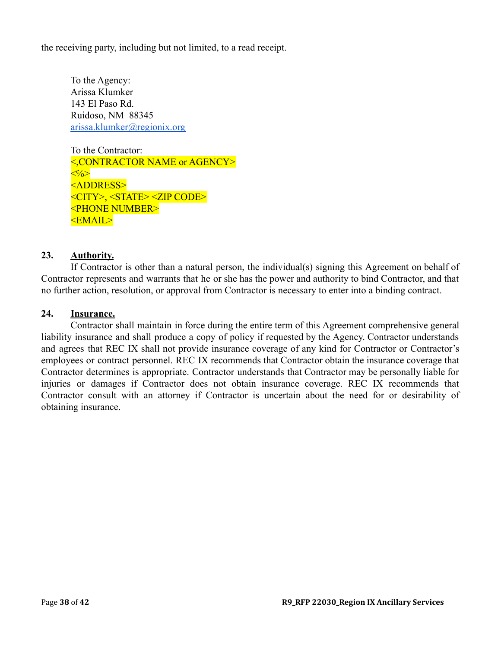the receiving party, including but not limited, to a read receipt.

To the Agency: Arissa Klumker 143 El Paso Rd. Ruidoso, NM 88345 [arissa.klumker@regionix.org](mailto:arissa.klumker@regionix.org)

To the Contractor: <,CONTRACTOR NAME or AGENCY>  $\langle\langle\cdot\rangle\langle\rangle\rangle$ <ADDRESS> <CITY>, <STATE> <ZIP CODE> <PHONE NUMBER> <EMAIL>

### **23. Authority.**

If Contractor is other than a natural person, the individual(s) signing this Agreement on behalf of Contractor represents and warrants that he or she has the power and authority to bind Contractor, and that no further action, resolution, or approval from Contractor is necessary to enter into a binding contract.

#### **24. Insurance.**

Contractor shall maintain in force during the entire term of this Agreement comprehensive general liability insurance and shall produce a copy of policy if requested by the Agency. Contractor understands and agrees that REC IX shall not provide insurance coverage of any kind for Contractor or Contractor's employees or contract personnel. REC IX recommends that Contractor obtain the insurance coverage that Contractor determines is appropriate. Contractor understands that Contractor may be personally liable for injuries or damages if Contractor does not obtain insurance coverage. REC IX recommends that Contractor consult with an attorney if Contractor is uncertain about the need for or desirability of obtaining insurance.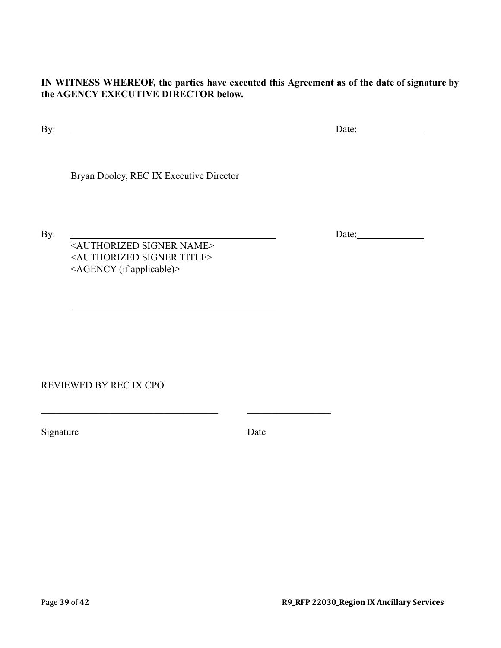**IN WITNESS WHEREOF, the parties have executed this Agreement as of the date of signature by the AGENCY EXECUTIVE DIRECTOR below.**

By: Date:

Bryan Dooley, REC IX Executive Director

<AUTHORIZED SIGNER NAME> <AUTHORIZED SIGNER TITLE> <AGENCY (if applicable)>

 $\_$  , and the set of the set of the set of the set of the set of the set of the set of the set of the set of the set of the set of the set of the set of the set of the set of the set of the set of the set of the set of th

REVIEWED BY REC IX CPO

Signature Date

Page **39** of **42 R9\_RFP 22030\_Region IX Ancillary Services**

By: Date: Date: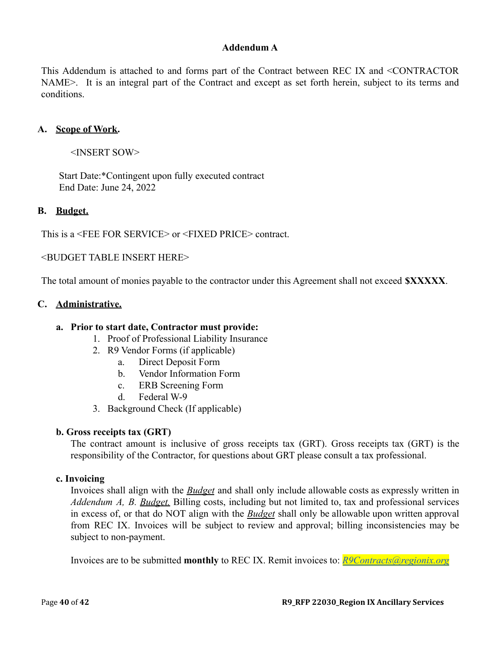### **Addendum A**

This Addendum is attached to and forms part of the Contract between REC IX and <CONTRACTOR NAME>. It is an integral part of the Contract and except as set forth herein, subject to its terms and conditions.

### **A. Scope of Work.**

<INSERT SOW>

Start Date:\*Contingent upon fully executed contract End Date: June 24, 2022

### **B. Budget.**

This is a <FEE FOR SERVICE> or <FIXED PRICE> contract.

<BUDGET TABLE INSERT HERE>

The total amount of monies payable to the contractor under this Agreement shall not exceed **\$XXXXX**.

#### **C. Administrative.**

#### **a. Prior to start date, Contractor must provide:**

- 1. Proof of Professional Liability Insurance
- 2. R9 Vendor Forms (if applicable)
	- a. Direct Deposit Form
	- b. Vendor Information Form
	- c. ERB Screening Form
	- d. Federal W-9
- 3. Background Check (If applicable)

#### **b. Gross receipts tax (GRT)**

The contract amount is inclusive of gross receipts tax (GRT). Gross receipts tax (GRT) is the responsibility of the Contractor, for questions about GRT please consult a tax professional.

#### **c. Invoicing**

Invoices shall align with the *Budget* and shall only include allowable costs as expressly written in *Addendum A, B. Budget.* Billing costs, including but not limited to, tax and professional services in excess of, or that do NOT align with the *Budget* shall only be allowable upon written approval from REC IX. Invoices will be subject to review and approval; billing inconsistencies may be subject to non-payment.

Invoices are to be submitted **monthly** to REC IX. Remit invoices to: *[R9Contracts@regionix.org](mailto:R9Contracts@regionix.org)*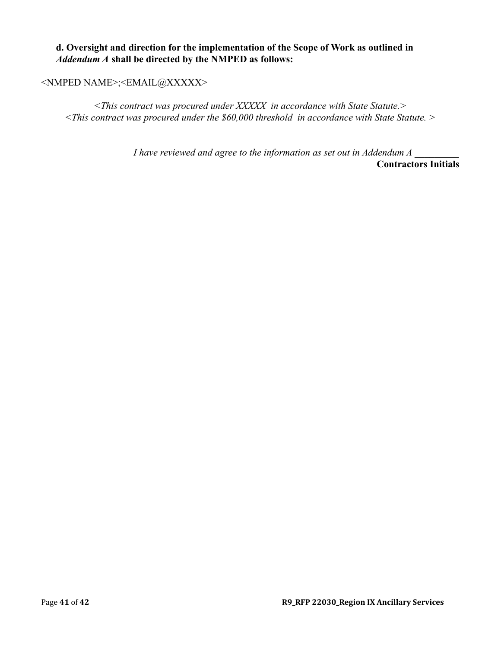### **d. Oversight and direction for the implementation of the Scope of Work as outlined in** *Addendum A* **shall be directed by the NMPED as follows:**

### <NMPED NAME>;<EMAIL@XXXXX>

*<This contract was procured under XXXXX in accordance with State Statute.> <This contract was procured under the \$60,000 threshold in accordance with State Statute. >*

> *I have reviewed and agree to the information as set out in Addendum A* **Contractors Initials**